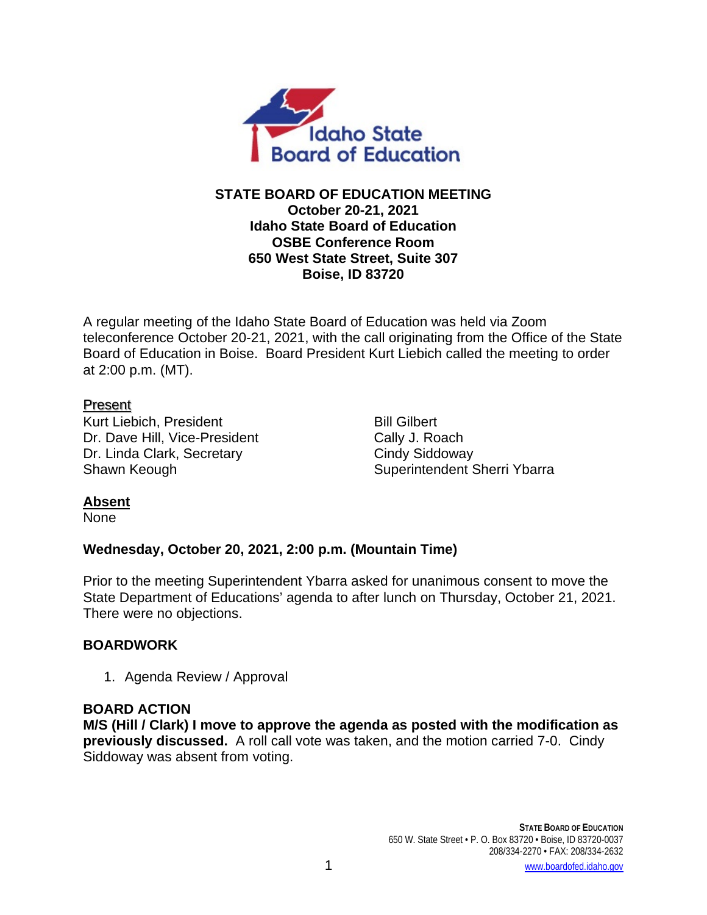

## **STATE BOARD OF EDUCATION MEETING October 20-21, 2021 Idaho State Board of Education OSBE Conference Room 650 West State Street, Suite 307 Boise, ID 83720**

A regular meeting of the Idaho State Board of Education was held via Zoom teleconference October 20-21, 2021, with the call originating from the Office of the State Board of Education in Boise. Board President Kurt Liebich called the meeting to order at 2:00 p.m. (MT).

## Present

Kurt Liebich, President Bill Gilbert Dr. Dave Hill, Vice-President Cally J. Roach Dr. Linda Clark, Secretary Cindy Siddoway

Shawn Keough Shawn Keough Shawn Keough Shawn Superintendent Sherri Ybarra

# **Absent**

None

# **Wednesday, October 20, 2021, 2:00 p.m. (Mountain Time)**

Prior to the meeting Superintendent Ybarra asked for unanimous consent to move the State Department of Educations' agenda to after lunch on Thursday, October 21, 2021. There were no objections.

# **BOARDWORK**

1. Agenda Review / Approval

# **BOARD ACTION**

**M/S (Hill / Clark) I move to approve the agenda as posted with the modification as previously discussed.** A roll call vote was taken, and the motion carried 7-0. Cindy Siddoway was absent from voting.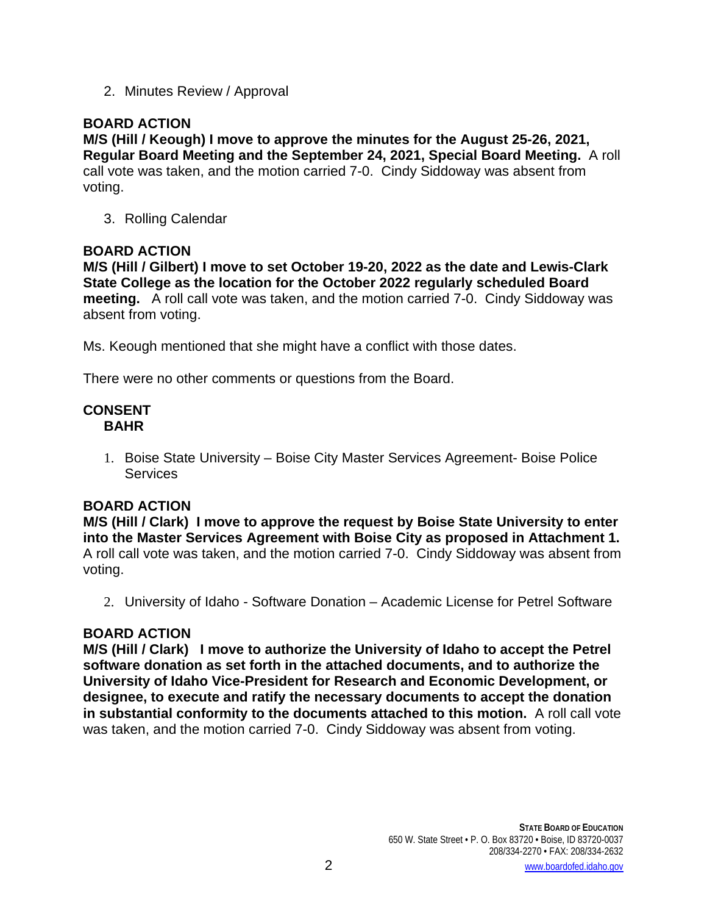2. Minutes Review / Approval

# **BOARD ACTION**

**M/S (Hill / Keough) I move to approve the minutes for the August 25-26, 2021, Regular Board Meeting and the September 24, 2021, Special Board Meeting.** A roll call vote was taken, and the motion carried 7-0. Cindy Siddoway was absent from voting.

3. Rolling Calendar

### **BOARD ACTION**

**M/S (Hill / Gilbert) I move to set October 19-20, 2022 as the date and Lewis-Clark State College as the location for the October 2022 regularly scheduled Board meeting.** A roll call vote was taken, and the motion carried 7-0. Cindy Siddoway was absent from voting.

Ms. Keough mentioned that she might have a conflict with those dates.

There were no other comments or questions from the Board.

### **CONSENT BAHR**

1. Boise State University – Boise City Master Services Agreement- Boise Police **Services** 

### **BOARD ACTION**

**M/S (Hill / Clark) I move to approve the request by Boise State University to enter into the Master Services Agreement with Boise City as proposed in Attachment 1.**  A roll call vote was taken, and the motion carried 7-0. Cindy Siddoway was absent from voting.

2. University of Idaho - Software Donation – Academic License for Petrel Software

### **BOARD ACTION**

**M/S (Hill / Clark) I move to authorize the University of Idaho to accept the Petrel software donation as set forth in the attached documents, and to authorize the University of Idaho Vice-President for Research and Economic Development, or designee, to execute and ratify the necessary documents to accept the donation in substantial conformity to the documents attached to this motion.** A roll call vote was taken, and the motion carried 7-0. Cindy Siddoway was absent from voting.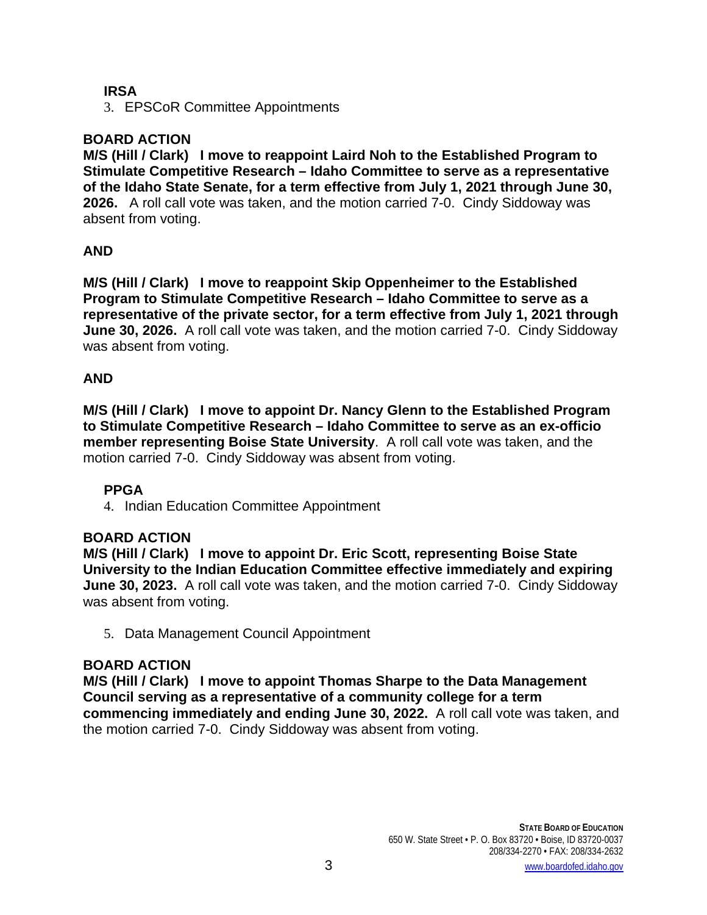### **IRSA**

3. EPSCoR Committee Appointments

### **BOARD ACTION**

**M/S (Hill / Clark) I move to reappoint Laird Noh to the Established Program to Stimulate Competitive Research – Idaho Committee to serve as a representative of the Idaho State Senate, for a term effective from July 1, 2021 through June 30, 2026.** A roll call vote was taken, and the motion carried 7-0. Cindy Siddoway was absent from voting.

### **AND**

**M/S (Hill / Clark) I move to reappoint Skip Oppenheimer to the Established Program to Stimulate Competitive Research – Idaho Committee to serve as a representative of the private sector, for a term effective from July 1, 2021 through June 30, 2026.** A roll call vote was taken, and the motion carried 7-0. Cindy Siddoway was absent from voting.

### **AND**

**M/S (Hill / Clark) I move to appoint Dr. Nancy Glenn to the Established Program to Stimulate Competitive Research – Idaho Committee to serve as an ex-officio member representing Boise State University**. A roll call vote was taken, and the motion carried 7-0. Cindy Siddoway was absent from voting.

### **PPGA**

4. Indian Education Committee Appointment

### **BOARD ACTION**

**M/S (Hill / Clark) I move to appoint Dr. Eric Scott, representing Boise State University to the Indian Education Committee effective immediately and expiring June 30, 2023.** A roll call vote was taken, and the motion carried 7-0. Cindy Siddoway was absent from voting.

5. Data Management Council Appointment

### **BOARD ACTION**

**M/S (Hill / Clark) I move to appoint Thomas Sharpe to the Data Management Council serving as a representative of a community college for a term commencing immediately and ending June 30, 2022.** A roll call vote was taken, and the motion carried 7-0. Cindy Siddoway was absent from voting.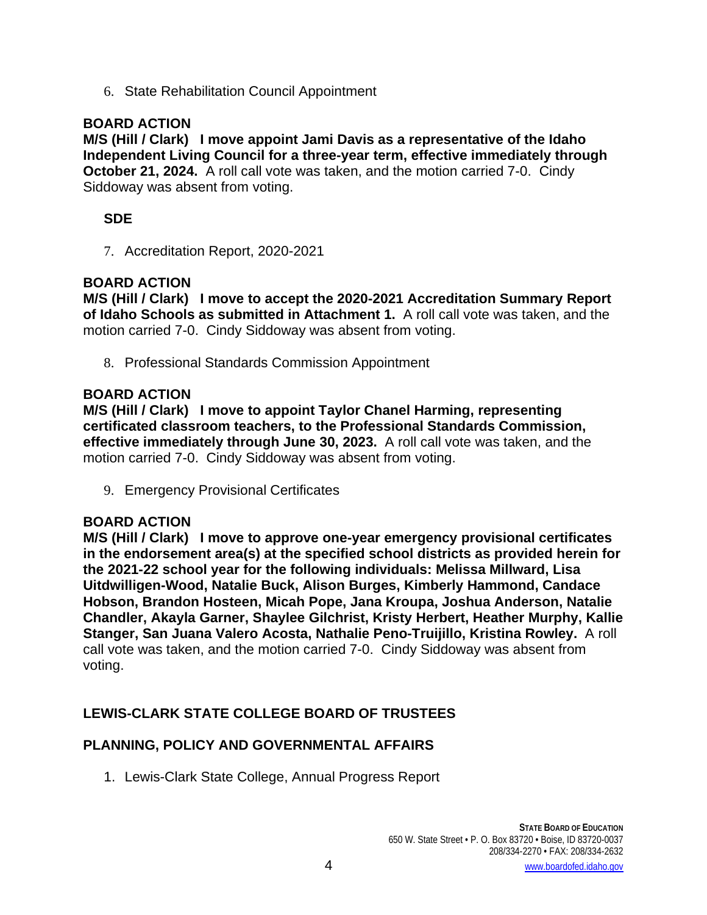6. State Rehabilitation Council Appointment

## **BOARD ACTION**

**M/S (Hill / Clark) I move appoint Jami Davis as a representative of the Idaho Independent Living Council for a three-year term, effective immediately through October 21, 2024.** A roll call vote was taken, and the motion carried 7-0. Cindy Siddoway was absent from voting.

## **SDE**

7. Accreditation Report, 2020-2021

### **BOARD ACTION**

**M/S (Hill / Clark) I move to accept the 2020-2021 Accreditation Summary Report of Idaho Schools as submitted in Attachment 1.** A roll call vote was taken, and the motion carried 7-0. Cindy Siddoway was absent from voting.

8. Professional Standards Commission Appointment

### **BOARD ACTION**

**M/S (Hill / Clark) I move to appoint Taylor Chanel Harming, representing certificated classroom teachers, to the Professional Standards Commission, effective immediately through June 30, 2023.** A roll call vote was taken, and the motion carried 7-0. Cindy Siddoway was absent from voting.

9. Emergency Provisional Certificates

## **BOARD ACTION**

**M/S (Hill / Clark) I move to approve one-year emergency provisional certificates in the endorsement area(s) at the specified school districts as provided herein for the 2021-22 school year for the following individuals: Melissa Millward, Lisa Uitdwilligen-Wood, Natalie Buck, Alison Burges, Kimberly Hammond, Candace Hobson, Brandon Hosteen, Micah Pope, Jana Kroupa, Joshua Anderson, Natalie Chandler, Akayla Garner, Shaylee Gilchrist, Kristy Herbert, Heather Murphy, Kallie Stanger, San Juana Valero Acosta, Nathalie Peno-Truijillo, Kristina Rowley.** A roll call vote was taken, and the motion carried 7-0. Cindy Siddoway was absent from voting.

# **LEWIS-CLARK STATE COLLEGE BOARD OF TRUSTEES**

### **PLANNING, POLICY AND GOVERNMENTAL AFFAIRS**

1. Lewis-Clark State College, Annual Progress Report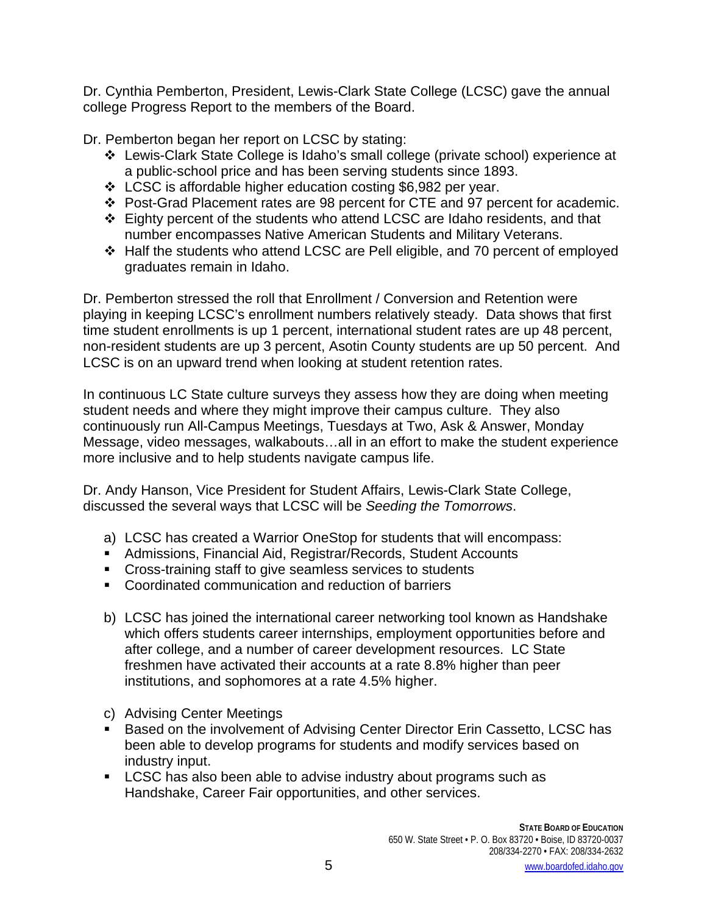Dr. Cynthia Pemberton, President, Lewis-Clark State College (LCSC) gave the annual college Progress Report to the members of the Board.

Dr. Pemberton began her report on LCSC by stating:

- Lewis-Clark State College is Idaho's small college (private school) experience at a public-school price and has been serving students since 1893.
- LCSC is affordable higher education costing \$6,982 per year.
- Post-Grad Placement rates are 98 percent for CTE and 97 percent for academic.
- $\div$  Eighty percent of the students who attend LCSC are Idaho residents, and that number encompasses Native American Students and Military Veterans.
- Half the students who attend LCSC are Pell eligible, and 70 percent of employed graduates remain in Idaho.

Dr. Pemberton stressed the roll that Enrollment / Conversion and Retention were playing in keeping LCSC's enrollment numbers relatively steady. Data shows that first time student enrollments is up 1 percent, international student rates are up 48 percent, non-resident students are up 3 percent, Asotin County students are up 50 percent. And LCSC is on an upward trend when looking at student retention rates.

In continuous LC State culture surveys they assess how they are doing when meeting student needs and where they might improve their campus culture. They also continuously run All-Campus Meetings, Tuesdays at Two, Ask & Answer, Monday Message, video messages, walkabouts…all in an effort to make the student experience more inclusive and to help students navigate campus life.

Dr. Andy Hanson, Vice President for Student Affairs, Lewis-Clark State College, discussed the several ways that LCSC will be *Seeding the Tomorrows*.

- a) LCSC has created a Warrior OneStop for students that will encompass:
- Admissions, Financial Aid, Registrar/Records, Student Accounts
- Cross-training staff to give seamless services to students
- Coordinated communication and reduction of barriers
- b) LCSC has joined the international career networking tool known as Handshake which offers students career internships, employment opportunities before and after college, and a number of career development resources. LC State freshmen have activated their accounts at a rate 8.8% higher than peer institutions, and sophomores at a rate 4.5% higher.
- c) Advising Center Meetings
- Based on the involvement of Advising Center Director Erin Cassetto, LCSC has been able to develop programs for students and modify services based on industry input.
- **LCSC** has also been able to advise industry about programs such as Handshake, Career Fair opportunities, and other services.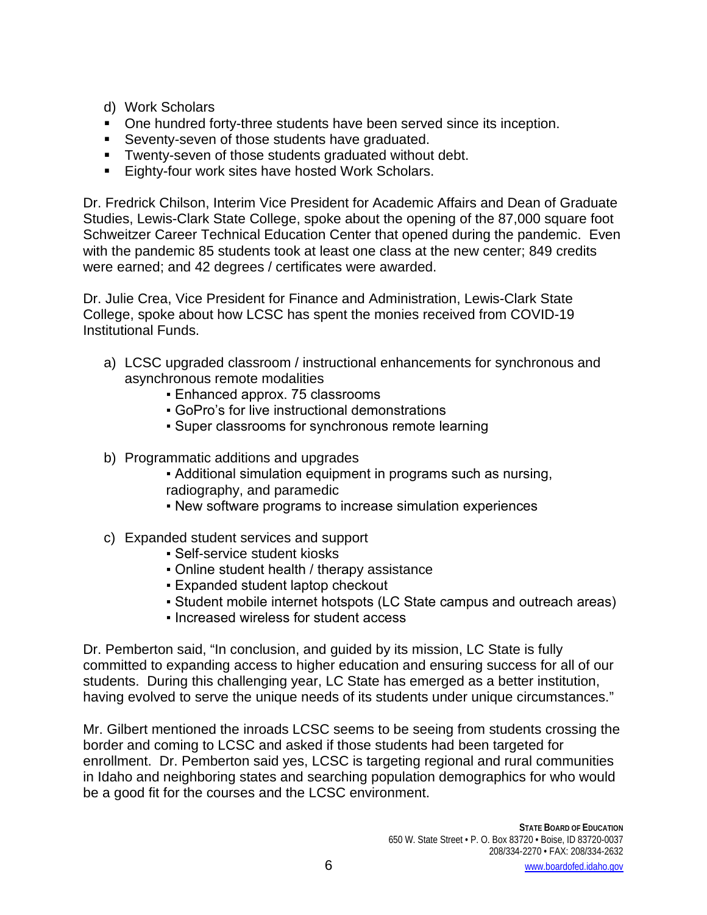- d) Work Scholars
- One hundred forty-three students have been served since its inception.
- **Seventy-seven of those students have graduated.**
- **Twenty-seven of those students graduated without debt.**
- **Eighty-four work sites have hosted Work Scholars.**

Dr. Fredrick Chilson, Interim Vice President for Academic Affairs and Dean of Graduate Studies, Lewis-Clark State College, spoke about the opening of the 87,000 square foot Schweitzer Career Technical Education Center that opened during the pandemic. Even with the pandemic 85 students took at least one class at the new center; 849 credits were earned; and 42 degrees / certificates were awarded.

Dr. Julie Crea, Vice President for Finance and Administration, Lewis-Clark State College, spoke about how LCSC has spent the monies received from COVID-19 Institutional Funds.

- a) LCSC upgraded classroom / instructional enhancements for synchronous and asynchronous remote modalities
	- **Enhanced approx. 75 classrooms**
	- GoPro's for live instructional demonstrations
	- Super classrooms for synchronous remote learning
- b) Programmatic additions and upgrades
	- Additional simulation equipment in programs such as nursing, radiography, and paramedic
	- New software programs to increase simulation experiences
- c) Expanded student services and support
	- Self-service student kiosks
	- Online student health / therapy assistance
	- **Expanded student laptop checkout**
	- Student mobile internet hotspots (LC State campus and outreach areas)
	- Increased wireless for student access

Dr. Pemberton said, "In conclusion, and guided by its mission, LC State is fully committed to expanding access to higher education and ensuring success for all of our students. During this challenging year, LC State has emerged as a better institution, having evolved to serve the unique needs of its students under unique circumstances."

Mr. Gilbert mentioned the inroads LCSC seems to be seeing from students crossing the border and coming to LCSC and asked if those students had been targeted for enrollment. Dr. Pemberton said yes, LCSC is targeting regional and rural communities in Idaho and neighboring states and searching population demographics for who would be a good fit for the courses and the LCSC environment.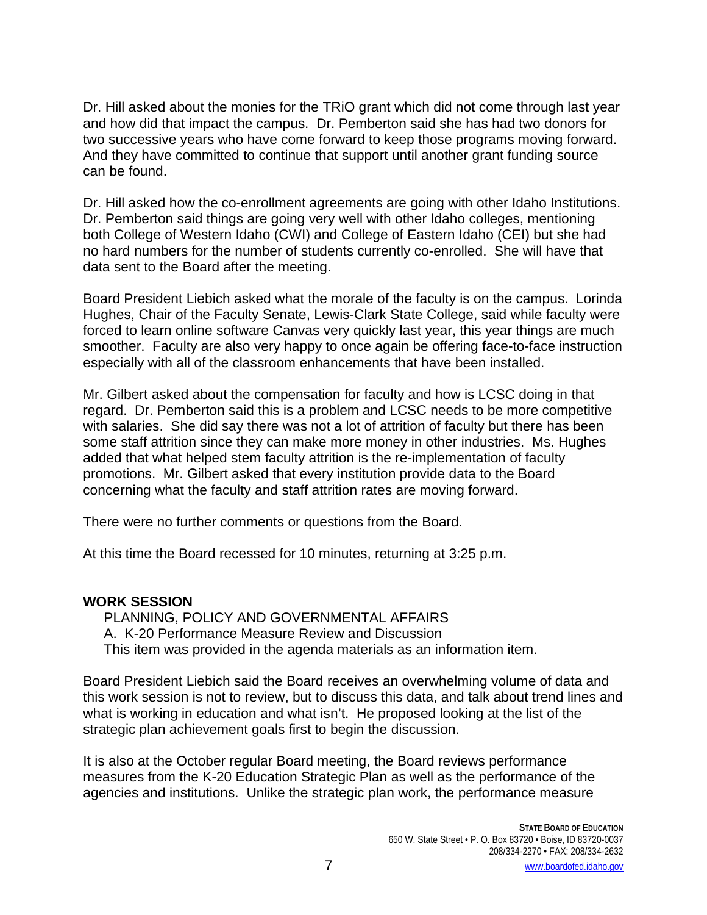Dr. Hill asked about the monies for the TRiO grant which did not come through last year and how did that impact the campus. Dr. Pemberton said she has had two donors for two successive years who have come forward to keep those programs moving forward. And they have committed to continue that support until another grant funding source can be found.

Dr. Hill asked how the co-enrollment agreements are going with other Idaho Institutions. Dr. Pemberton said things are going very well with other Idaho colleges, mentioning both College of Western Idaho (CWI) and College of Eastern Idaho (CEI) but she had no hard numbers for the number of students currently co-enrolled. She will have that data sent to the Board after the meeting.

Board President Liebich asked what the morale of the faculty is on the campus. Lorinda Hughes, Chair of the Faculty Senate, Lewis-Clark State College, said while faculty were forced to learn online software Canvas very quickly last year, this year things are much smoother. Faculty are also very happy to once again be offering face-to-face instruction especially with all of the classroom enhancements that have been installed.

Mr. Gilbert asked about the compensation for faculty and how is LCSC doing in that regard. Dr. Pemberton said this is a problem and LCSC needs to be more competitive with salaries. She did say there was not a lot of attrition of faculty but there has been some staff attrition since they can make more money in other industries. Ms. Hughes added that what helped stem faculty attrition is the re-implementation of faculty promotions. Mr. Gilbert asked that every institution provide data to the Board concerning what the faculty and staff attrition rates are moving forward.

There were no further comments or questions from the Board.

At this time the Board recessed for 10 minutes, returning at 3:25 p.m.

# **WORK SESSION**

PLANNING, POLICY AND GOVERNMENTAL AFFAIRS A. K-20 Performance Measure Review and Discussion This item was provided in the agenda materials as an information item.

Board President Liebich said the Board receives an overwhelming volume of data and this work session is not to review, but to discuss this data, and talk about trend lines and what is working in education and what isn't. He proposed looking at the list of the strategic plan achievement goals first to begin the discussion.

It is also at the October regular Board meeting, the Board reviews performance measures from the K-20 Education Strategic Plan as well as the performance of the agencies and institutions. Unlike the strategic plan work, the performance measure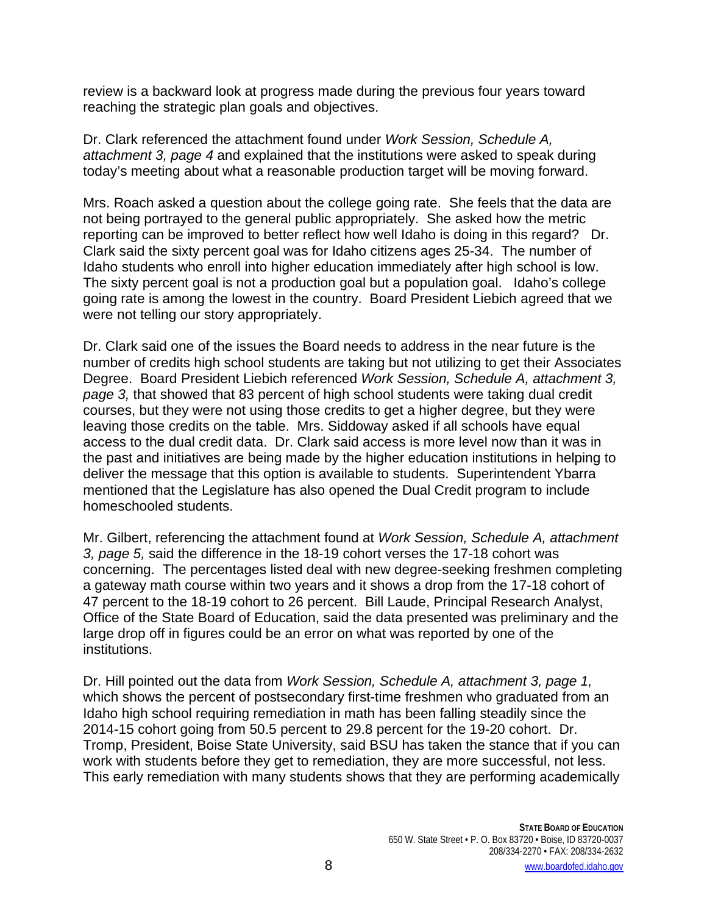review is a backward look at progress made during the previous four years toward reaching the strategic plan goals and objectives.

Dr. Clark referenced the attachment found under *Work Session, Schedule A, attachment 3, page 4* and explained that the institutions were asked to speak during today's meeting about what a reasonable production target will be moving forward.

Mrs. Roach asked a question about the college going rate. She feels that the data are not being portrayed to the general public appropriately. She asked how the metric reporting can be improved to better reflect how well Idaho is doing in this regard? Dr. Clark said the sixty percent goal was for Idaho citizens ages 25-34. The number of Idaho students who enroll into higher education immediately after high school is low. The sixty percent goal is not a production goal but a population goal. Idaho's college going rate is among the lowest in the country. Board President Liebich agreed that we were not telling our story appropriately.

Dr. Clark said one of the issues the Board needs to address in the near future is the number of credits high school students are taking but not utilizing to get their Associates Degree. Board President Liebich referenced *Work Session, Schedule A, attachment 3, page 3,* that showed that 83 percent of high school students were taking dual credit courses, but they were not using those credits to get a higher degree, but they were leaving those credits on the table. Mrs. Siddoway asked if all schools have equal access to the dual credit data. Dr. Clark said access is more level now than it was in the past and initiatives are being made by the higher education institutions in helping to deliver the message that this option is available to students. Superintendent Ybarra mentioned that the Legislature has also opened the Dual Credit program to include homeschooled students.

Mr. Gilbert, referencing the attachment found at *Work Session, Schedule A, attachment 3, page 5,* said the difference in the 18-19 cohort verses the 17-18 cohort was concerning. The percentages listed deal with new degree-seeking freshmen completing a gateway math course within two years and it shows a drop from the 17-18 cohort of 47 percent to the 18-19 cohort to 26 percent. Bill Laude, Principal Research Analyst, Office of the State Board of Education, said the data presented was preliminary and the large drop off in figures could be an error on what was reported by one of the institutions.

Dr. Hill pointed out the data from *Work Session, Schedule A, attachment 3, page 1,* which shows the percent of postsecondary first-time freshmen who graduated from an Idaho high school requiring remediation in math has been falling steadily since the 2014-15 cohort going from 50.5 percent to 29.8 percent for the 19-20 cohort. Dr. Tromp, President, Boise State University, said BSU has taken the stance that if you can work with students before they get to remediation, they are more successful, not less. This early remediation with many students shows that they are performing academically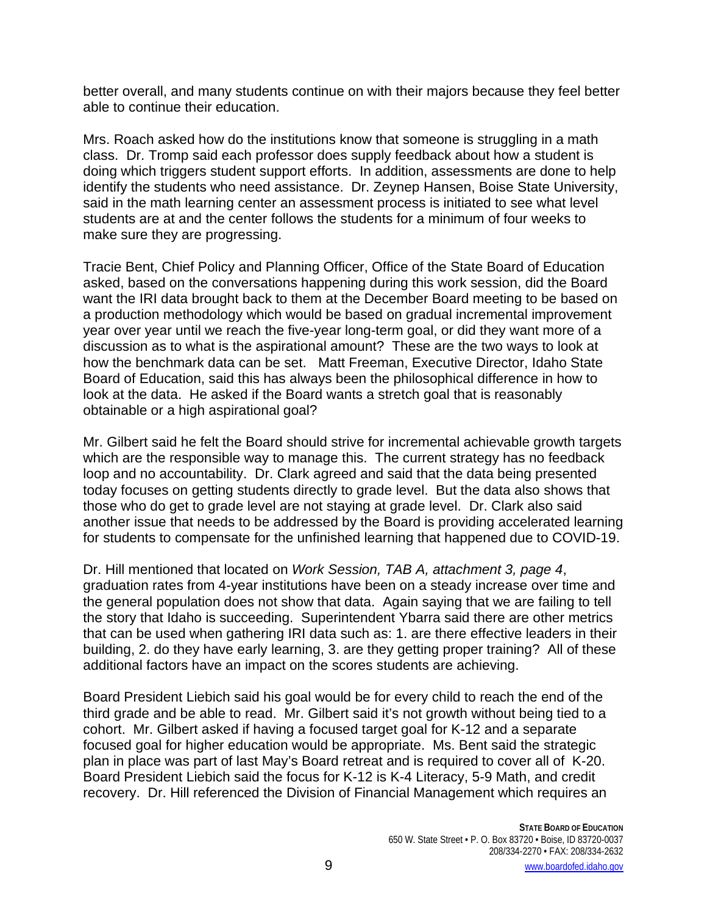better overall, and many students continue on with their majors because they feel better able to continue their education.

Mrs. Roach asked how do the institutions know that someone is struggling in a math class. Dr. Tromp said each professor does supply feedback about how a student is doing which triggers student support efforts. In addition, assessments are done to help identify the students who need assistance. Dr. Zeynep Hansen, Boise State University, said in the math learning center an assessment process is initiated to see what level students are at and the center follows the students for a minimum of four weeks to make sure they are progressing.

Tracie Bent, Chief Policy and Planning Officer, Office of the State Board of Education asked, based on the conversations happening during this work session, did the Board want the IRI data brought back to them at the December Board meeting to be based on a production methodology which would be based on gradual incremental improvement year over year until we reach the five-year long-term goal, or did they want more of a discussion as to what is the aspirational amount? These are the two ways to look at how the benchmark data can be set. Matt Freeman, Executive Director, Idaho State Board of Education, said this has always been the philosophical difference in how to look at the data. He asked if the Board wants a stretch goal that is reasonably obtainable or a high aspirational goal?

Mr. Gilbert said he felt the Board should strive for incremental achievable growth targets which are the responsible way to manage this. The current strategy has no feedback loop and no accountability. Dr. Clark agreed and said that the data being presented today focuses on getting students directly to grade level. But the data also shows that those who do get to grade level are not staying at grade level. Dr. Clark also said another issue that needs to be addressed by the Board is providing accelerated learning for students to compensate for the unfinished learning that happened due to COVID-19.

Dr. Hill mentioned that located on *Work Session, TAB A, attachment 3, page 4*, graduation rates from 4-year institutions have been on a steady increase over time and the general population does not show that data. Again saying that we are failing to tell the story that Idaho is succeeding. Superintendent Ybarra said there are other metrics that can be used when gathering IRI data such as: 1. are there effective leaders in their building, 2. do they have early learning, 3. are they getting proper training? All of these additional factors have an impact on the scores students are achieving.

Board President Liebich said his goal would be for every child to reach the end of the third grade and be able to read. Mr. Gilbert said it's not growth without being tied to a cohort. Mr. Gilbert asked if having a focused target goal for K-12 and a separate focused goal for higher education would be appropriate. Ms. Bent said the strategic plan in place was part of last May's Board retreat and is required to cover all of K-20. Board President Liebich said the focus for K-12 is K-4 Literacy, 5-9 Math, and credit recovery. Dr. Hill referenced the Division of Financial Management which requires an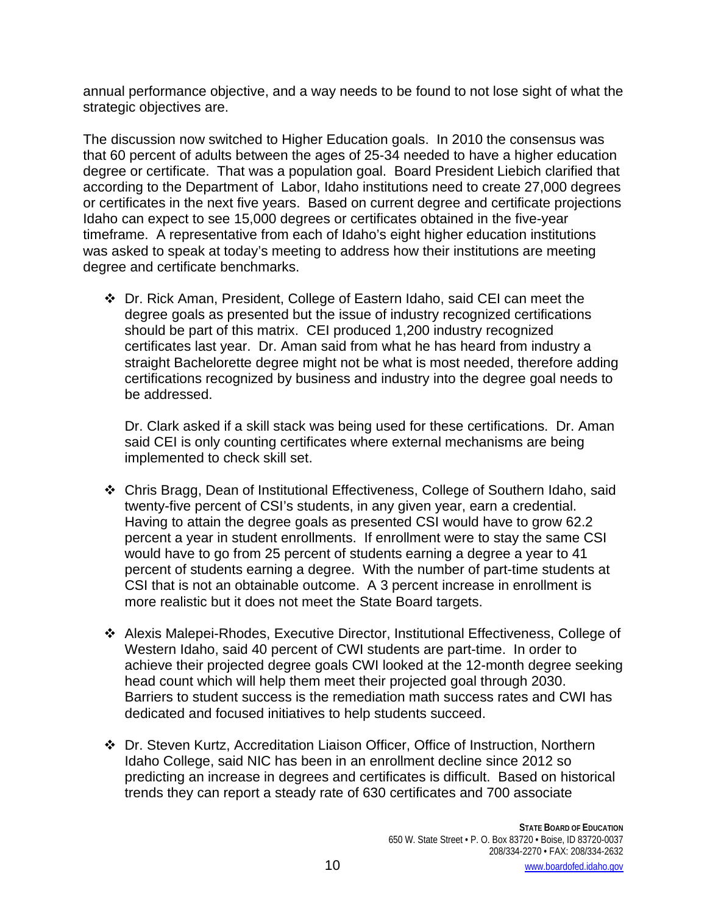annual performance objective, and a way needs to be found to not lose sight of what the strategic objectives are.

The discussion now switched to Higher Education goals. In 2010 the consensus was that 60 percent of adults between the ages of 25-34 needed to have a higher education degree or certificate. That was a population goal. Board President Liebich clarified that according to the Department of Labor, Idaho institutions need to create 27,000 degrees or certificates in the next five years. Based on current degree and certificate projections Idaho can expect to see 15,000 degrees or certificates obtained in the five-year timeframe. A representative from each of Idaho's eight higher education institutions was asked to speak at today's meeting to address how their institutions are meeting degree and certificate benchmarks.

 Dr. Rick Aman, President, College of Eastern Idaho, said CEI can meet the degree goals as presented but the issue of industry recognized certifications should be part of this matrix. CEI produced 1,200 industry recognized certificates last year. Dr. Aman said from what he has heard from industry a straight Bachelorette degree might not be what is most needed, therefore adding certifications recognized by business and industry into the degree goal needs to be addressed.

Dr. Clark asked if a skill stack was being used for these certifications. Dr. Aman said CEI is only counting certificates where external mechanisms are being implemented to check skill set.

- Chris Bragg, Dean of Institutional Effectiveness, College of Southern Idaho, said twenty-five percent of CSI's students, in any given year, earn a credential. Having to attain the degree goals as presented CSI would have to grow 62.2 percent a year in student enrollments. If enrollment were to stay the same CSI would have to go from 25 percent of students earning a degree a year to 41 percent of students earning a degree. With the number of part-time students at CSI that is not an obtainable outcome. A 3 percent increase in enrollment is more realistic but it does not meet the State Board targets.
- Alexis Malepei-Rhodes, Executive Director, Institutional Effectiveness, College of Western Idaho, said 40 percent of CWI students are part-time. In order to achieve their projected degree goals CWI looked at the 12-month degree seeking head count which will help them meet their projected goal through 2030. Barriers to student success is the remediation math success rates and CWI has dedicated and focused initiatives to help students succeed.
- Dr. Steven Kurtz, Accreditation Liaison Officer, Office of Instruction, Northern Idaho College, said NIC has been in an enrollment decline since 2012 so predicting an increase in degrees and certificates is difficult. Based on historical trends they can report a steady rate of 630 certificates and 700 associate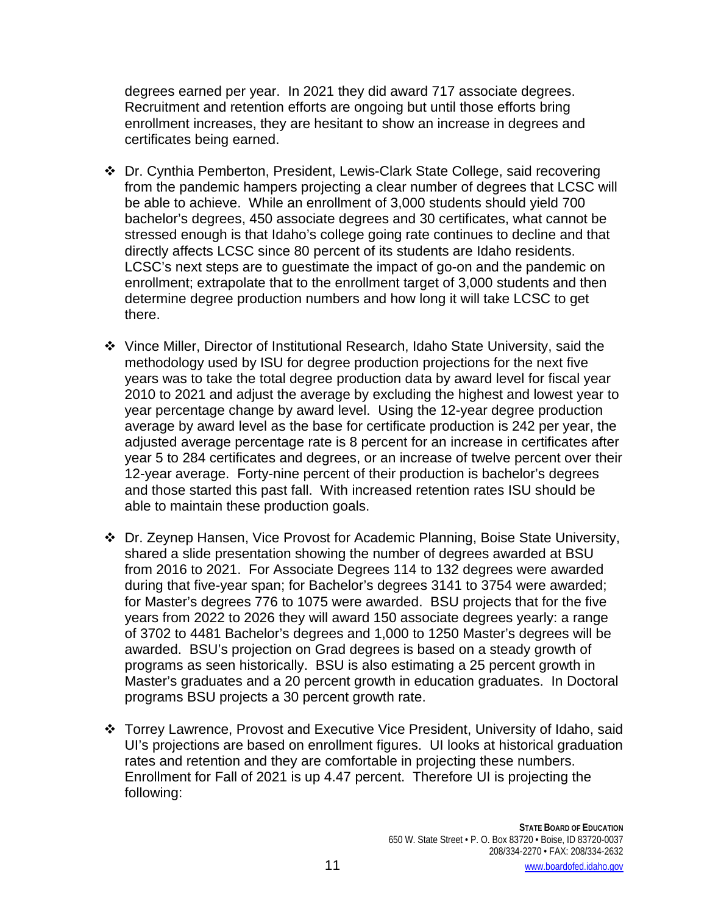degrees earned per year. In 2021 they did award 717 associate degrees. Recruitment and retention efforts are ongoing but until those efforts bring enrollment increases, they are hesitant to show an increase in degrees and certificates being earned.

- Dr. Cynthia Pemberton, President, Lewis-Clark State College, said recovering from the pandemic hampers projecting a clear number of degrees that LCSC will be able to achieve. While an enrollment of 3,000 students should yield 700 bachelor's degrees, 450 associate degrees and 30 certificates, what cannot be stressed enough is that Idaho's college going rate continues to decline and that directly affects LCSC since 80 percent of its students are Idaho residents. LCSC's next steps are to guestimate the impact of go-on and the pandemic on enrollment; extrapolate that to the enrollment target of 3,000 students and then determine degree production numbers and how long it will take LCSC to get there.
- Vince Miller, Director of Institutional Research, Idaho State University, said the methodology used by ISU for degree production projections for the next five years was to take the total degree production data by award level for fiscal year 2010 to 2021 and adjust the average by excluding the highest and lowest year to year percentage change by award level. Using the 12-year degree production average by award level as the base for certificate production is 242 per year, the adjusted average percentage rate is 8 percent for an increase in certificates after year 5 to 284 certificates and degrees, or an increase of twelve percent over their 12-year average. Forty-nine percent of their production is bachelor's degrees and those started this past fall. With increased retention rates ISU should be able to maintain these production goals.
- Dr. Zeynep Hansen, Vice Provost for Academic Planning, Boise State University, shared a slide presentation showing the number of degrees awarded at BSU from 2016 to 2021. For Associate Degrees 114 to 132 degrees were awarded during that five-year span; for Bachelor's degrees 3141 to 3754 were awarded; for Master's degrees 776 to 1075 were awarded. BSU projects that for the five years from 2022 to 2026 they will award 150 associate degrees yearly: a range of 3702 to 4481 Bachelor's degrees and 1,000 to 1250 Master's degrees will be awarded. BSU's projection on Grad degrees is based on a steady growth of programs as seen historically. BSU is also estimating a 25 percent growth in Master's graduates and a 20 percent growth in education graduates. In Doctoral programs BSU projects a 30 percent growth rate.
- Torrey Lawrence, Provost and Executive Vice President, University of Idaho, said UI's projections are based on enrollment figures. UI looks at historical graduation rates and retention and they are comfortable in projecting these numbers. Enrollment for Fall of 2021 is up 4.47 percent. Therefore UI is projecting the following: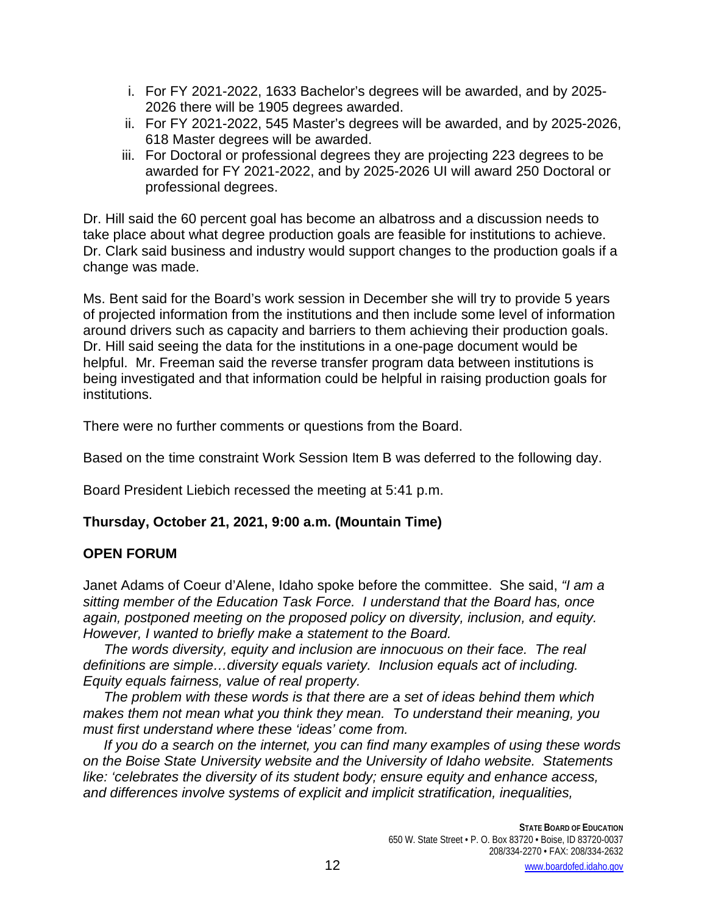- i. For FY 2021-2022, 1633 Bachelor's degrees will be awarded, and by 2025- 2026 there will be 1905 degrees awarded.
- ii. For FY 2021-2022, 545 Master's degrees will be awarded, and by 2025-2026, 618 Master degrees will be awarded.
- iii. For Doctoral or professional degrees they are projecting 223 degrees to be awarded for FY 2021-2022, and by 2025-2026 UI will award 250 Doctoral or professional degrees.

Dr. Hill said the 60 percent goal has become an albatross and a discussion needs to take place about what degree production goals are feasible for institutions to achieve. Dr. Clark said business and industry would support changes to the production goals if a change was made.

Ms. Bent said for the Board's work session in December she will try to provide 5 years of projected information from the institutions and then include some level of information around drivers such as capacity and barriers to them achieving their production goals. Dr. Hill said seeing the data for the institutions in a one-page document would be helpful. Mr. Freeman said the reverse transfer program data between institutions is being investigated and that information could be helpful in raising production goals for institutions.

There were no further comments or questions from the Board.

Based on the time constraint Work Session Item B was deferred to the following day.

Board President Liebich recessed the meeting at 5:41 p.m.

# **Thursday, October 21, 2021, 9:00 a.m. (Mountain Time)**

# **OPEN FORUM**

Janet Adams of Coeur d'Alene, Idaho spoke before the committee. She said, *"I am a sitting member of the Education Task Force. I understand that the Board has, once again, postponed meeting on the proposed policy on diversity, inclusion, and equity. However, I wanted to briefly make a statement to the Board.* 

*The words diversity, equity and inclusion are innocuous on their face. The real definitions are simple…diversity equals variety. Inclusion equals act of including. Equity equals fairness, value of real property.* 

*The problem with these words is that there are a set of ideas behind them which makes them not mean what you think they mean. To understand their meaning, you must first understand where these 'ideas' come from.*

*If you do a search on the internet, you can find many examples of using these words on the Boise State University website and the University of Idaho website. Statements like: 'celebrates the diversity of its student body; ensure equity and enhance access, and differences involve systems of explicit and implicit stratification, inequalities,*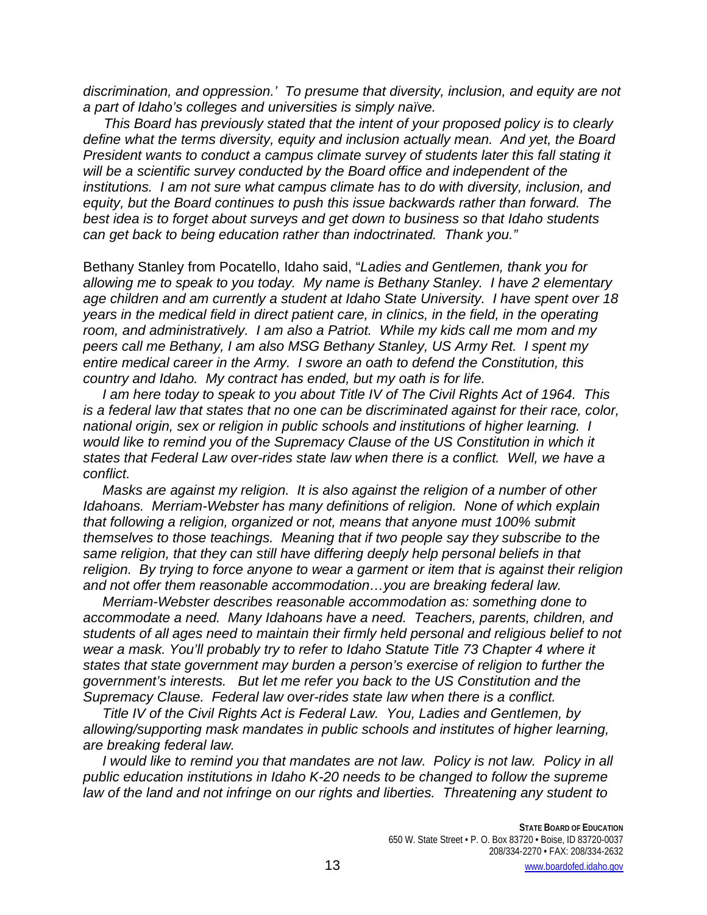*discrimination, and oppression.' To presume that diversity, inclusion, and equity are not a part of Idaho's colleges and universities is simply naïve.*

*This Board has previously stated that the intent of your proposed policy is to clearly define what the terms diversity, equity and inclusion actually mean. And yet, the Board President wants to conduct a campus climate survey of students later this fall stating it will be a scientific survey conducted by the Board office and independent of the institutions. I am not sure what campus climate has to do with diversity, inclusion, and equity, but the Board continues to push this issue backwards rather than forward. The best idea is to forget about surveys and get down to business so that Idaho students can get back to being education rather than indoctrinated. Thank you."*

Bethany Stanley from Pocatello, Idaho said, "*Ladies and Gentlemen, thank you for allowing me to speak to you today. My name is Bethany Stanley. I have 2 elementary age children and am currently a student at Idaho State University. I have spent over 18 years in the medical field in direct patient care, in clinics, in the field, in the operating room, and administratively. I am also a Patriot. While my kids call me mom and my peers call me Bethany, I am also MSG Bethany Stanley, US Army Ret. I spent my entire medical career in the Army. I swore an oath to defend the Constitution, this country and Idaho. My contract has ended, but my oath is for life.*

 *I am here today to speak to you about Title IV of The Civil Rights Act of 1964. This is a federal law that states that no one can be discriminated against for their race, color, national origin, sex or religion in public schools and institutions of higher learning. I would like to remind you of the Supremacy Clause of the US Constitution in which it states that Federal Law over-rides state law when there is a conflict. Well, we have a conflict.*

 *Masks are against my religion. It is also against the religion of a number of other Idahoans. Merriam-Webster has many definitions of religion. None of which explain that following a religion, organized or not, means that anyone must 100% submit themselves to those teachings. Meaning that if two people say they subscribe to the same religion, that they can still have differing deeply help personal beliefs in that religion. By trying to force anyone to wear a garment or item that is against their religion and not offer them reasonable accommodation…you are breaking federal law.*

 *Merriam-Webster describes reasonable accommodation as: something done to accommodate a need. Many Idahoans have a need. Teachers, parents, children, and students of all ages need to maintain their firmly held personal and religious belief to not wear a mask. You'll probably try to refer to Idaho Statute Title 73 Chapter 4 where it states that state government may burden a person's exercise of religion to further the government's interests. But let me refer you back to the US Constitution and the Supremacy Clause. Federal law over-rides state law when there is a conflict.*

 *Title IV of the Civil Rights Act is Federal Law. You, Ladies and Gentlemen, by allowing/supporting mask mandates in public schools and institutes of higher learning, are breaking federal law.*

 *I would like to remind you that mandates are not law. Policy is not law. Policy in all public education institutions in Idaho K-20 needs to be changed to follow the supreme law of the land and not infringe on our rights and liberties. Threatening any student to*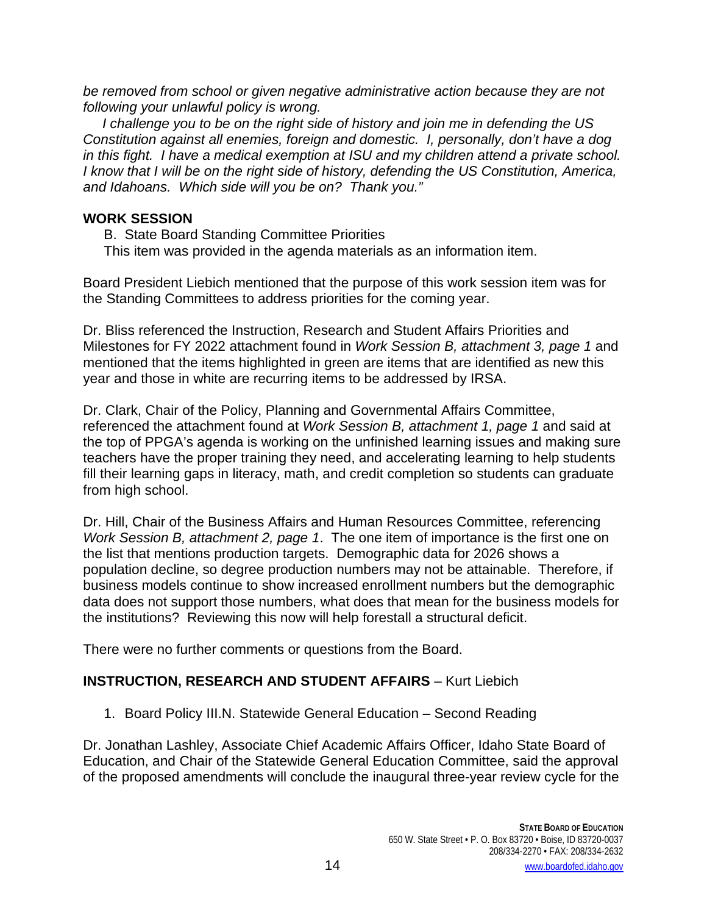*be removed from school or given negative administrative action because they are not following your unlawful policy is wrong.* 

 *I challenge you to be on the right side of history and join me in defending the US Constitution against all enemies, foreign and domestic. I, personally, don't have a dog in this fight. I have a medical exemption at ISU and my children attend a private school. I know that I will be on the right side of history, defending the US Constitution, America, and Idahoans. Which side will you be on? Thank you."*

## **WORK SESSION**

B. State Board Standing Committee Priorities

This item was provided in the agenda materials as an information item.

Board President Liebich mentioned that the purpose of this work session item was for the Standing Committees to address priorities for the coming year.

Dr. Bliss referenced the Instruction, Research and Student Affairs Priorities and Milestones for FY 2022 attachment found in *Work Session B, attachment 3, page 1* and mentioned that the items highlighted in green are items that are identified as new this year and those in white are recurring items to be addressed by IRSA.

Dr. Clark, Chair of the Policy, Planning and Governmental Affairs Committee, referenced the attachment found at *Work Session B, attachment 1, page 1* and said at the top of PPGA's agenda is working on the unfinished learning issues and making sure teachers have the proper training they need, and accelerating learning to help students fill their learning gaps in literacy, math, and credit completion so students can graduate from high school.

Dr. Hill, Chair of the Business Affairs and Human Resources Committee, referencing *Work Session B, attachment 2, page 1*. The one item of importance is the first one on the list that mentions production targets. Demographic data for 2026 shows a population decline, so degree production numbers may not be attainable. Therefore, if business models continue to show increased enrollment numbers but the demographic data does not support those numbers, what does that mean for the business models for the institutions? Reviewing this now will help forestall a structural deficit.

There were no further comments or questions from the Board.

# **INSTRUCTION, RESEARCH AND STUDENT AFFAIRS** – Kurt Liebich

1. Board Policy III.N. Statewide General Education – Second Reading

Dr. Jonathan Lashley, Associate Chief Academic Affairs Officer, Idaho State Board of Education, and Chair of the Statewide General Education Committee, said the approval of the proposed amendments will conclude the inaugural three-year review cycle for the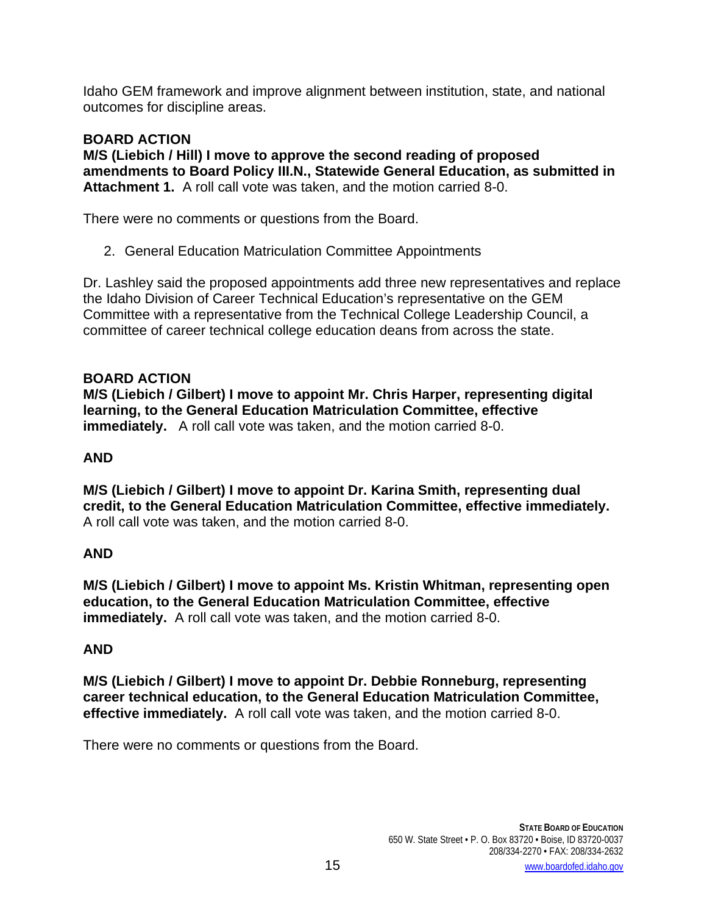Idaho GEM framework and improve alignment between institution, state, and national outcomes for discipline areas.

## **BOARD ACTION**

**M/S (Liebich / Hill) I move to approve the second reading of proposed amendments to Board Policy III.N., Statewide General Education, as submitted in Attachment 1.** A roll call vote was taken, and the motion carried 8-0.

There were no comments or questions from the Board.

2. General Education Matriculation Committee Appointments

Dr. Lashley said the proposed appointments add three new representatives and replace the Idaho Division of Career Technical Education's representative on the GEM Committee with a representative from the Technical College Leadership Council, a committee of career technical college education deans from across the state.

## **BOARD ACTION**

**M/S (Liebich / Gilbert) I move to appoint Mr. Chris Harper, representing digital learning, to the General Education Matriculation Committee, effective immediately.** A roll call vote was taken, and the motion carried 8-0.

## **AND**

**M/S (Liebich / Gilbert) I move to appoint Dr. Karina Smith, representing dual credit, to the General Education Matriculation Committee, effective immediately.**  A roll call vote was taken, and the motion carried 8-0.

### **AND**

**M/S (Liebich / Gilbert) I move to appoint Ms. Kristin Whitman, representing open education, to the General Education Matriculation Committee, effective immediately.** A roll call vote was taken, and the motion carried 8-0.

### **AND**

**M/S (Liebich / Gilbert) I move to appoint Dr. Debbie Ronneburg, representing career technical education, to the General Education Matriculation Committee, effective immediately.** A roll call vote was taken, and the motion carried 8-0.

There were no comments or questions from the Board.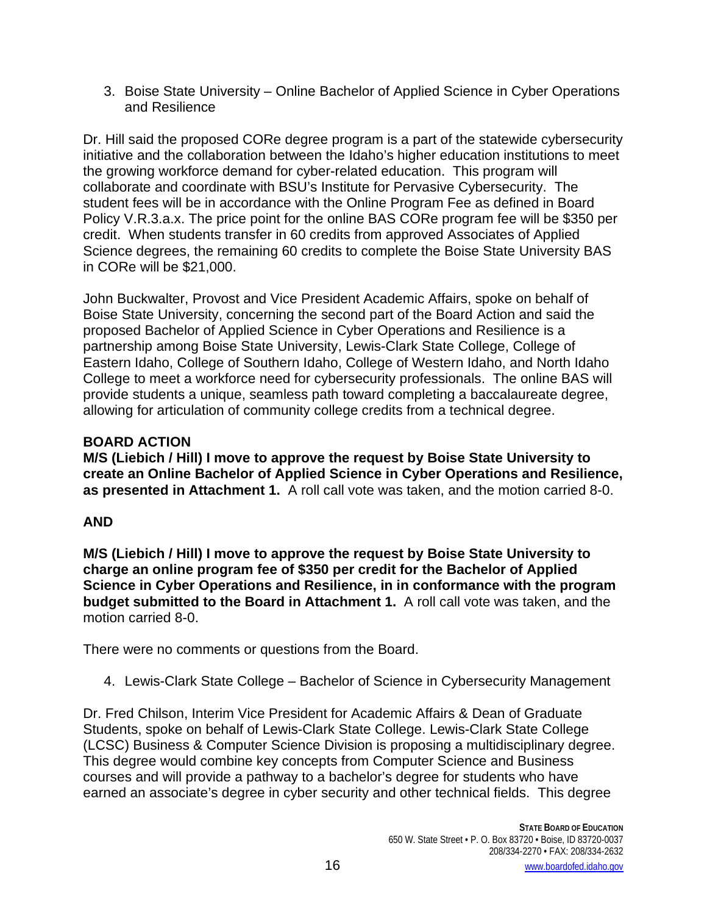3. Boise State University – Online Bachelor of Applied Science in Cyber Operations and Resilience

Dr. Hill said the proposed CORe degree program is a part of the statewide cybersecurity initiative and the collaboration between the Idaho's higher education institutions to meet the growing workforce demand for cyber-related education. This program will collaborate and coordinate with BSU's Institute for Pervasive Cybersecurity. The student fees will be in accordance with the Online Program Fee as defined in Board Policy V.R.3.a.x. The price point for the online BAS CORe program fee will be \$350 per credit. When students transfer in 60 credits from approved Associates of Applied Science degrees, the remaining 60 credits to complete the Boise State University BAS in CORe will be \$21,000.

John Buckwalter, Provost and Vice President Academic Affairs, spoke on behalf of Boise State University, concerning the second part of the Board Action and said the proposed Bachelor of Applied Science in Cyber Operations and Resilience is a partnership among Boise State University, Lewis-Clark State College, College of Eastern Idaho, College of Southern Idaho, College of Western Idaho, and North Idaho College to meet a workforce need for cybersecurity professionals. The online BAS will provide students a unique, seamless path toward completing a baccalaureate degree, allowing for articulation of community college credits from a technical degree.

# **BOARD ACTION**

**M/S (Liebich / Hill) I move to approve the request by Boise State University to create an Online Bachelor of Applied Science in Cyber Operations and Resilience, as presented in Attachment 1.** A roll call vote was taken, and the motion carried 8-0.

# **AND**

**M/S (Liebich / Hill) I move to approve the request by Boise State University to charge an online program fee of \$350 per credit for the Bachelor of Applied Science in Cyber Operations and Resilience, in in conformance with the program budget submitted to the Board in Attachment 1.** A roll call vote was taken, and the motion carried 8-0.

There were no comments or questions from the Board.

4. Lewis-Clark State College – Bachelor of Science in Cybersecurity Management

Dr. Fred Chilson, Interim Vice President for Academic Affairs & Dean of Graduate Students, spoke on behalf of Lewis-Clark State College. Lewis-Clark State College (LCSC) Business & Computer Science Division is proposing a multidisciplinary degree. This degree would combine key concepts from Computer Science and Business courses and will provide a pathway to a bachelor's degree for students who have earned an associate's degree in cyber security and other technical fields. This degree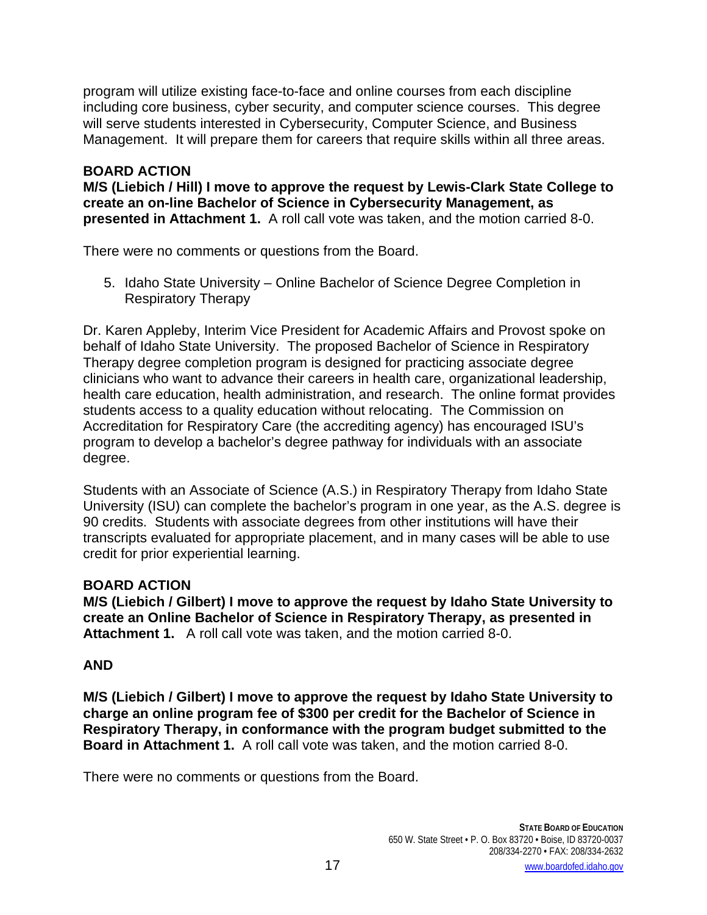program will utilize existing face-to-face and online courses from each discipline including core business, cyber security, and computer science courses. This degree will serve students interested in Cybersecurity, Computer Science, and Business Management. It will prepare them for careers that require skills within all three areas.

# **BOARD ACTION**

**M/S (Liebich / Hill) I move to approve the request by Lewis-Clark State College to create an on-line Bachelor of Science in Cybersecurity Management, as presented in Attachment 1.** A roll call vote was taken, and the motion carried 8-0.

There were no comments or questions from the Board.

5. Idaho State University – Online Bachelor of Science Degree Completion in Respiratory Therapy

Dr. Karen Appleby, Interim Vice President for Academic Affairs and Provost spoke on behalf of Idaho State University. The proposed Bachelor of Science in Respiratory Therapy degree completion program is designed for practicing associate degree clinicians who want to advance their careers in health care, organizational leadership, health care education, health administration, and research. The online format provides students access to a quality education without relocating. The Commission on Accreditation for Respiratory Care (the accrediting agency) has encouraged ISU's program to develop a bachelor's degree pathway for individuals with an associate degree.

Students with an Associate of Science (A.S.) in Respiratory Therapy from Idaho State University (ISU) can complete the bachelor's program in one year, as the A.S. degree is 90 credits. Students with associate degrees from other institutions will have their transcripts evaluated for appropriate placement, and in many cases will be able to use credit for prior experiential learning.

# **BOARD ACTION**

**M/S (Liebich / Gilbert) I move to approve the request by Idaho State University to create an Online Bachelor of Science in Respiratory Therapy, as presented in Attachment 1.** A roll call vote was taken, and the motion carried 8-0.

# **AND**

**M/S (Liebich / Gilbert) I move to approve the request by Idaho State University to charge an online program fee of \$300 per credit for the Bachelor of Science in Respiratory Therapy, in conformance with the program budget submitted to the Board in Attachment 1.** A roll call vote was taken, and the motion carried 8-0.

There were no comments or questions from the Board.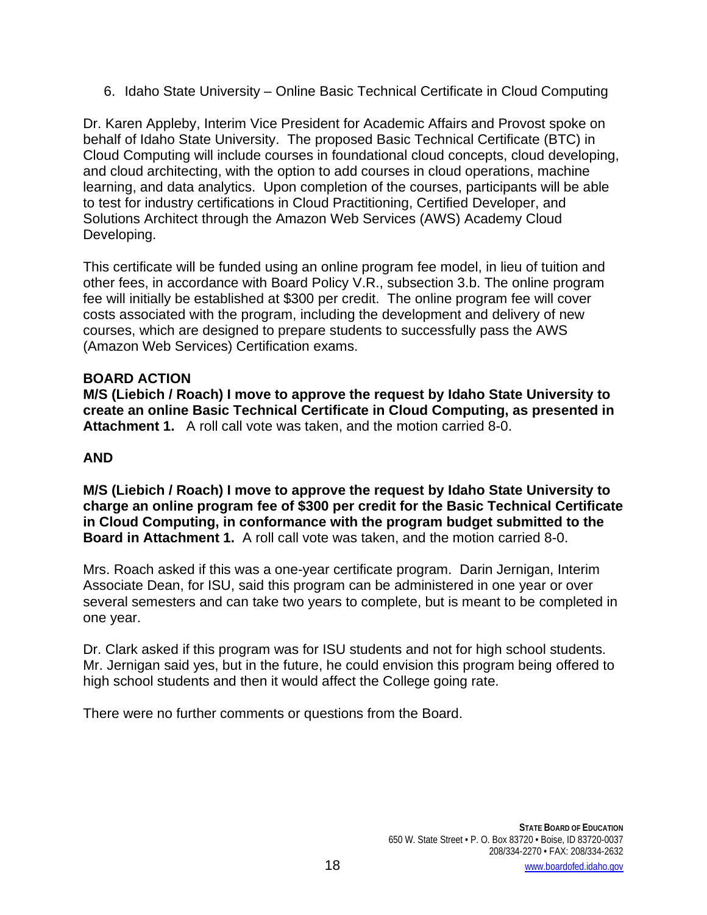6. Idaho State University – Online Basic Technical Certificate in Cloud Computing

Dr. Karen Appleby, Interim Vice President for Academic Affairs and Provost spoke on behalf of Idaho State University. The proposed Basic Technical Certificate (BTC) in Cloud Computing will include courses in foundational cloud concepts, cloud developing, and cloud architecting, with the option to add courses in cloud operations, machine learning, and data analytics. Upon completion of the courses, participants will be able to test for industry certifications in Cloud Practitioning, Certified Developer, and Solutions Architect through the Amazon Web Services (AWS) Academy Cloud Developing.

This certificate will be funded using an online program fee model, in lieu of tuition and other fees, in accordance with Board Policy V.R., subsection 3.b. The online program fee will initially be established at \$300 per credit. The online program fee will cover costs associated with the program, including the development and delivery of new courses, which are designed to prepare students to successfully pass the AWS (Amazon Web Services) Certification exams.

### **BOARD ACTION**

**M/S (Liebich / Roach) I move to approve the request by Idaho State University to create an online Basic Technical Certificate in Cloud Computing, as presented in Attachment 1.** A roll call vote was taken, and the motion carried 8-0.

# **AND**

**M/S (Liebich / Roach) I move to approve the request by Idaho State University to charge an online program fee of \$300 per credit for the Basic Technical Certificate in Cloud Computing, in conformance with the program budget submitted to the Board in Attachment 1.** A roll call vote was taken, and the motion carried 8-0.

Mrs. Roach asked if this was a one-year certificate program. Darin Jernigan, Interim Associate Dean, for ISU, said this program can be administered in one year or over several semesters and can take two years to complete, but is meant to be completed in one year.

Dr. Clark asked if this program was for ISU students and not for high school students. Mr. Jernigan said yes, but in the future, he could envision this program being offered to high school students and then it would affect the College going rate.

There were no further comments or questions from the Board.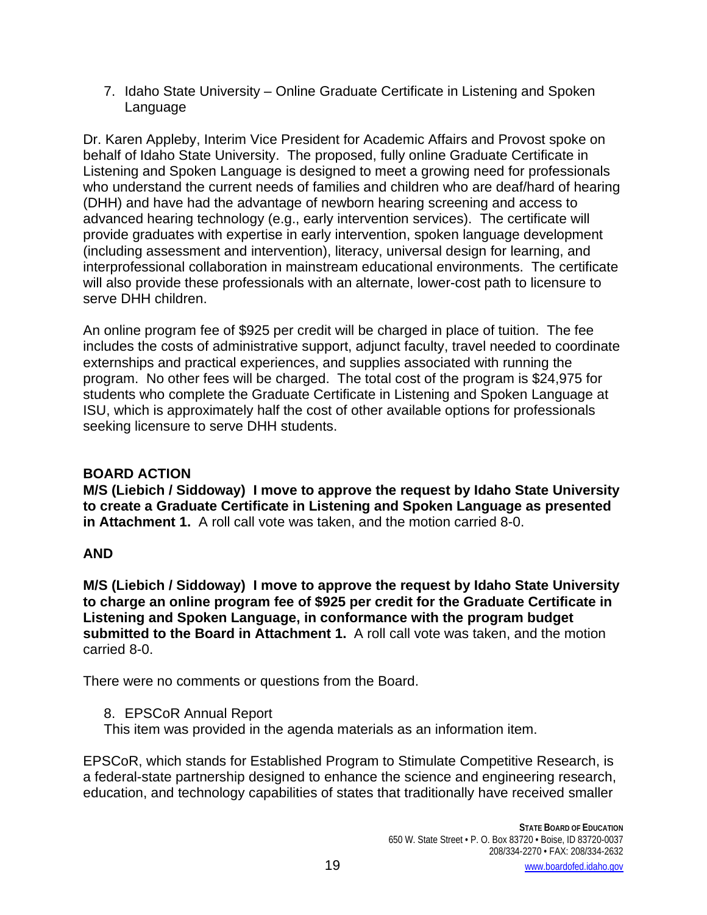7. Idaho State University – Online Graduate Certificate in Listening and Spoken Language

Dr. Karen Appleby, Interim Vice President for Academic Affairs and Provost spoke on behalf of Idaho State University. The proposed, fully online Graduate Certificate in Listening and Spoken Language is designed to meet a growing need for professionals who understand the current needs of families and children who are deaf/hard of hearing (DHH) and have had the advantage of newborn hearing screening and access to advanced hearing technology (e.g., early intervention services). The certificate will provide graduates with expertise in early intervention, spoken language development (including assessment and intervention), literacy, universal design for learning, and interprofessional collaboration in mainstream educational environments. The certificate will also provide these professionals with an alternate, lower-cost path to licensure to serve DHH children.

An online program fee of \$925 per credit will be charged in place of tuition. The fee includes the costs of administrative support, adjunct faculty, travel needed to coordinate externships and practical experiences, and supplies associated with running the program. No other fees will be charged. The total cost of the program is \$24,975 for students who complete the Graduate Certificate in Listening and Spoken Language at ISU, which is approximately half the cost of other available options for professionals seeking licensure to serve DHH students.

# **BOARD ACTION**

**M/S (Liebich / Siddoway) I move to approve the request by Idaho State University to create a Graduate Certificate in Listening and Spoken Language as presented in Attachment 1.** A roll call vote was taken, and the motion carried 8-0.

# **AND**

**M/S (Liebich / Siddoway) I move to approve the request by Idaho State University to charge an online program fee of \$925 per credit for the Graduate Certificate in Listening and Spoken Language, in conformance with the program budget submitted to the Board in Attachment 1.** A roll call vote was taken, and the motion carried 8-0.

There were no comments or questions from the Board.

8. EPSCoR Annual Report

This item was provided in the agenda materials as an information item.

EPSCoR, which stands for Established Program to Stimulate Competitive Research, is a federal-state partnership designed to enhance the science and engineering research, education, and technology capabilities of states that traditionally have received smaller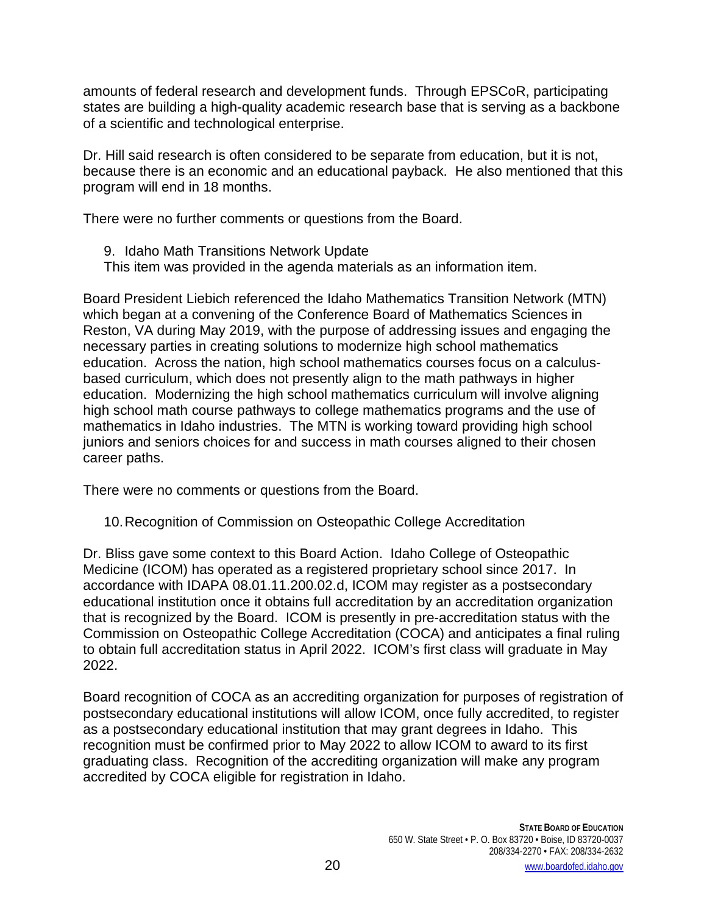amounts of federal research and development funds. Through EPSCoR, participating states are building a high-quality academic research base that is serving as a backbone of a scientific and technological enterprise.

Dr. Hill said research is often considered to be separate from education, but it is not, because there is an economic and an educational payback. He also mentioned that this program will end in 18 months.

There were no further comments or questions from the Board.

- 9. Idaho Math Transitions Network Update
- This item was provided in the agenda materials as an information item.

Board President Liebich referenced the Idaho Mathematics Transition Network (MTN) which began at a convening of the Conference Board of Mathematics Sciences in Reston, VA during May 2019, with the purpose of addressing issues and engaging the necessary parties in creating solutions to modernize high school mathematics education. Across the nation, high school mathematics courses focus on a calculusbased curriculum, which does not presently align to the math pathways in higher education. Modernizing the high school mathematics curriculum will involve aligning high school math course pathways to college mathematics programs and the use of mathematics in Idaho industries. The MTN is working toward providing high school juniors and seniors choices for and success in math courses aligned to their chosen career paths.

There were no comments or questions from the Board.

10.Recognition of Commission on Osteopathic College Accreditation

Dr. Bliss gave some context to this Board Action. Idaho College of Osteopathic Medicine (ICOM) has operated as a registered proprietary school since 2017. In accordance with IDAPA 08.01.11.200.02.d, ICOM may register as a postsecondary educational institution once it obtains full accreditation by an accreditation organization that is recognized by the Board. ICOM is presently in pre-accreditation status with the Commission on Osteopathic College Accreditation (COCA) and anticipates a final ruling to obtain full accreditation status in April 2022. ICOM's first class will graduate in May 2022.

Board recognition of COCA as an accrediting organization for purposes of registration of postsecondary educational institutions will allow ICOM, once fully accredited, to register as a postsecondary educational institution that may grant degrees in Idaho. This recognition must be confirmed prior to May 2022 to allow ICOM to award to its first graduating class. Recognition of the accrediting organization will make any program accredited by COCA eligible for registration in Idaho.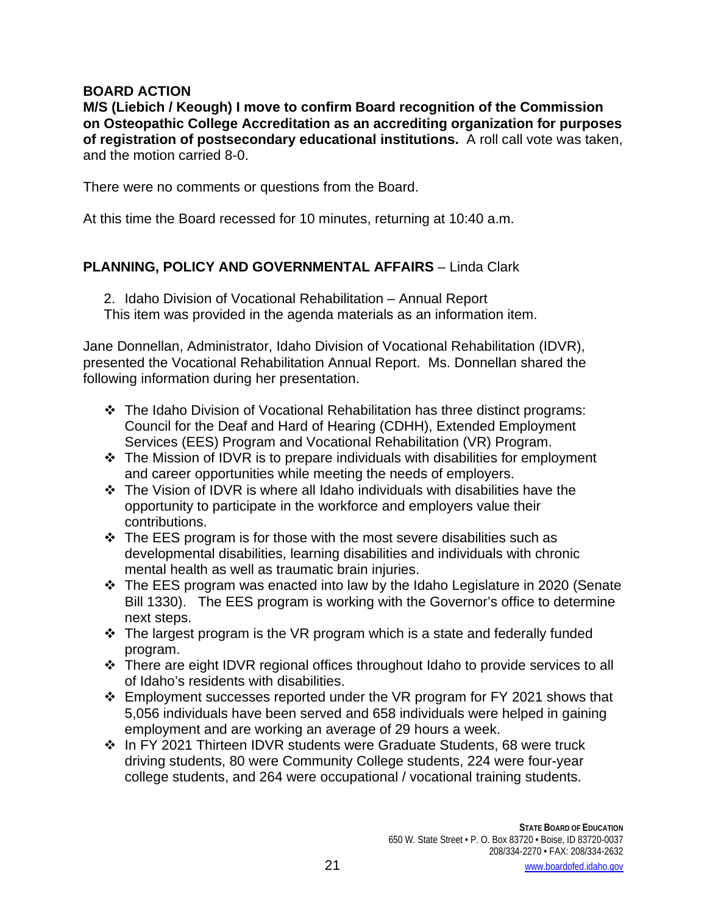## **BOARD ACTION**

**M/S (Liebich / Keough) I move to confirm Board recognition of the Commission on Osteopathic College Accreditation as an accrediting organization for purposes of registration of postsecondary educational institutions.** A roll call vote was taken, and the motion carried 8-0.

There were no comments or questions from the Board.

At this time the Board recessed for 10 minutes, returning at 10:40 a.m.

# **PLANNING, POLICY AND GOVERNMENTAL AFFAIRS** – Linda Clark

2. Idaho Division of Vocational Rehabilitation – Annual Report This item was provided in the agenda materials as an information item.

Jane Donnellan, Administrator, Idaho Division of Vocational Rehabilitation (IDVR), presented the Vocational Rehabilitation Annual Report. Ms. Donnellan shared the following information during her presentation.

- The Idaho Division of Vocational Rehabilitation has three distinct programs: Council for the Deaf and Hard of Hearing (CDHH), Extended Employment Services (EES) Program and Vocational Rehabilitation (VR) Program.
- $\cdot \cdot$  The Mission of IDVR is to prepare individuals with disabilities for employment and career opportunities while meeting the needs of employers.
- The Vision of IDVR is where all Idaho individuals with disabilities have the opportunity to participate in the workforce and employers value their contributions.
- $\cdot$  The EES program is for those with the most severe disabilities such as developmental disabilities, learning disabilities and individuals with chronic mental health as well as traumatic brain injuries.
- The EES program was enacted into law by the Idaho Legislature in 2020 (Senate Bill 1330). The EES program is working with the Governor's office to determine next steps.
- $\cdot$  The largest program is the VR program which is a state and federally funded program.
- \* There are eight IDVR regional offices throughout Idaho to provide services to all of Idaho's residents with disabilities.
- Employment successes reported under the VR program for FY 2021 shows that 5,056 individuals have been served and 658 individuals were helped in gaining employment and are working an average of 29 hours a week.
- In FY 2021 Thirteen IDVR students were Graduate Students, 68 were truck driving students, 80 were Community College students, 224 were four-year college students, and 264 were occupational / vocational training students.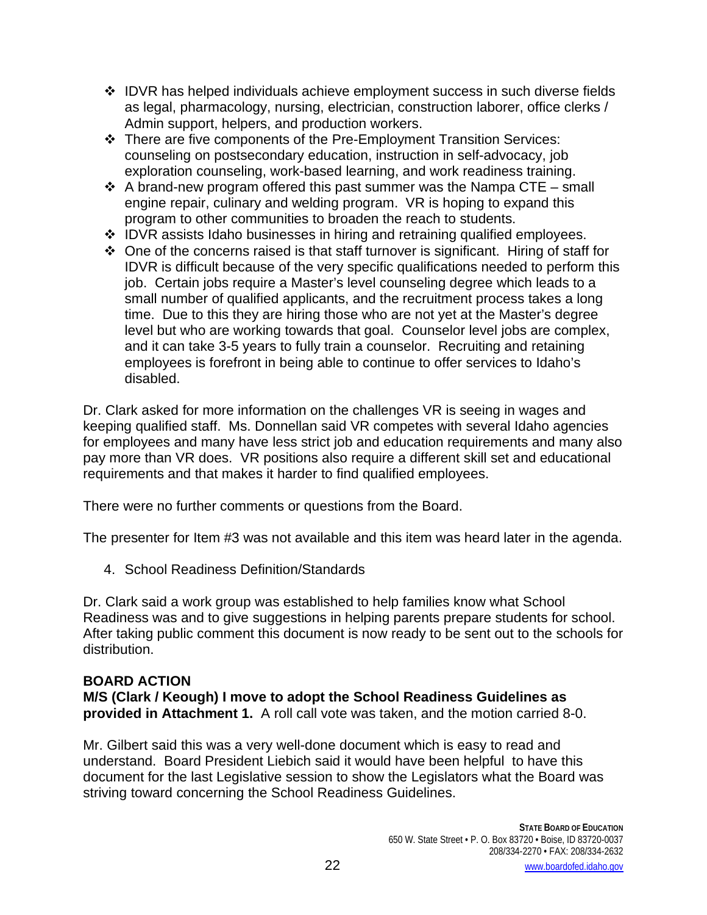- $\div$  IDVR has helped individuals achieve employment success in such diverse fields as legal, pharmacology, nursing, electrician, construction laborer, office clerks / Admin support, helpers, and production workers.
- There are five components of the Pre-Employment Transition Services: counseling on postsecondary education, instruction in self-advocacy, job exploration counseling, work-based learning, and work readiness training.
- $\div$  A brand-new program offered this past summer was the Nampa CTE small engine repair, culinary and welding program. VR is hoping to expand this program to other communities to broaden the reach to students.
- IDVR assists Idaho businesses in hiring and retraining qualified employees.
- $\div$  One of the concerns raised is that staff turnover is significant. Hiring of staff for IDVR is difficult because of the very specific qualifications needed to perform this job. Certain jobs require a Master's level counseling degree which leads to a small number of qualified applicants, and the recruitment process takes a long time. Due to this they are hiring those who are not yet at the Master's degree level but who are working towards that goal. Counselor level jobs are complex, and it can take 3-5 years to fully train a counselor. Recruiting and retaining employees is forefront in being able to continue to offer services to Idaho's disabled.

Dr. Clark asked for more information on the challenges VR is seeing in wages and keeping qualified staff. Ms. Donnellan said VR competes with several Idaho agencies for employees and many have less strict job and education requirements and many also pay more than VR does. VR positions also require a different skill set and educational requirements and that makes it harder to find qualified employees.

There were no further comments or questions from the Board.

The presenter for Item #3 was not available and this item was heard later in the agenda.

4. School Readiness Definition/Standards

Dr. Clark said a work group was established to help families know what School Readiness was and to give suggestions in helping parents prepare students for school. After taking public comment this document is now ready to be sent out to the schools for distribution.

# **BOARD ACTION**

**M/S (Clark / Keough) I move to adopt the School Readiness Guidelines as provided in Attachment 1.** A roll call vote was taken, and the motion carried 8-0.

Mr. Gilbert said this was a very well-done document which is easy to read and understand. Board President Liebich said it would have been helpful to have this document for the last Legislative session to show the Legislators what the Board was striving toward concerning the School Readiness Guidelines.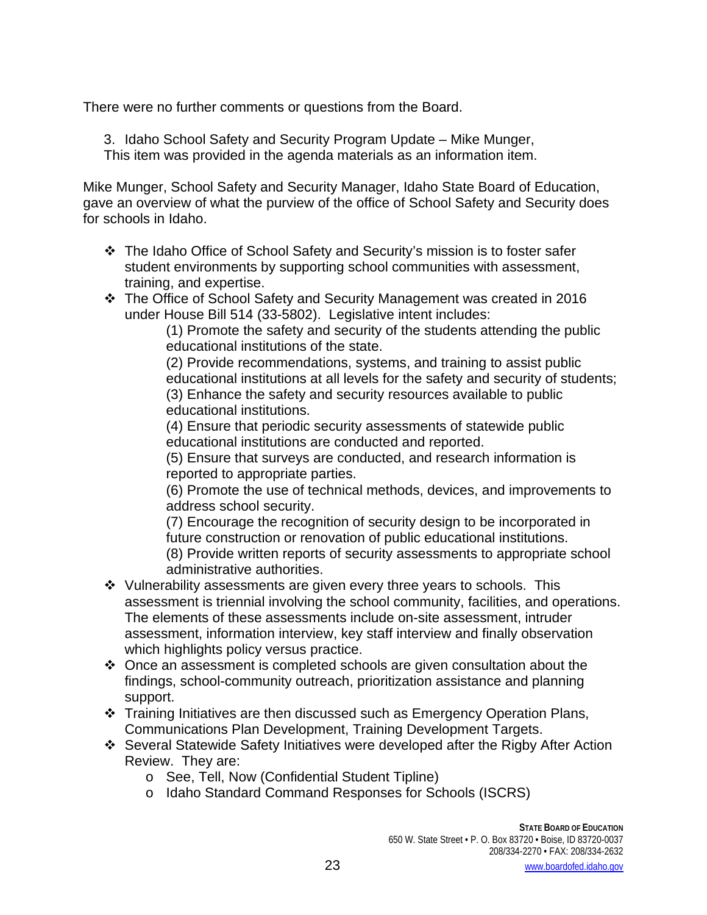There were no further comments or questions from the Board.

3. Idaho School Safety and Security Program Update – Mike Munger, This item was provided in the agenda materials as an information item.

Mike Munger, School Safety and Security Manager, Idaho State Board of Education, gave an overview of what the purview of the office of School Safety and Security does for schools in Idaho.

- The Idaho Office of School Safety and Security's mission is to foster safer student environments by supporting school communities with assessment, training, and expertise.
- \* The Office of School Safety and Security Management was created in 2016 under House Bill 514 (33-5802). Legislative intent includes:

(1) Promote the safety and security of the students attending the public educational institutions of the state.

(2) Provide recommendations, systems, and training to assist public educational institutions at all levels for the safety and security of students; (3) Enhance the safety and security resources available to public educational institutions.

(4) Ensure that periodic security assessments of statewide public educational institutions are conducted and reported.

(5) Ensure that surveys are conducted, and research information is reported to appropriate parties.

(6) Promote the use of technical methods, devices, and improvements to address school security.

(7) Encourage the recognition of security design to be incorporated in future construction or renovation of public educational institutions.

(8) Provide written reports of security assessments to appropriate school administrative authorities.

- $\div$  Vulnerability assessments are given every three years to schools. This assessment is triennial involving the school community, facilities, and operations. The elements of these assessments include on-site assessment, intruder assessment, information interview, key staff interview and finally observation which highlights policy versus practice.
- $\cdot$  Once an assessment is completed schools are given consultation about the findings, school-community outreach, prioritization assistance and planning support.
- \* Training Initiatives are then discussed such as Emergency Operation Plans, Communications Plan Development, Training Development Targets.
- Several Statewide Safety Initiatives were developed after the Rigby After Action Review. They are:
	- o See, Tell, Now (Confidential Student Tipline)
	- o Idaho Standard Command Responses for Schools (ISCRS)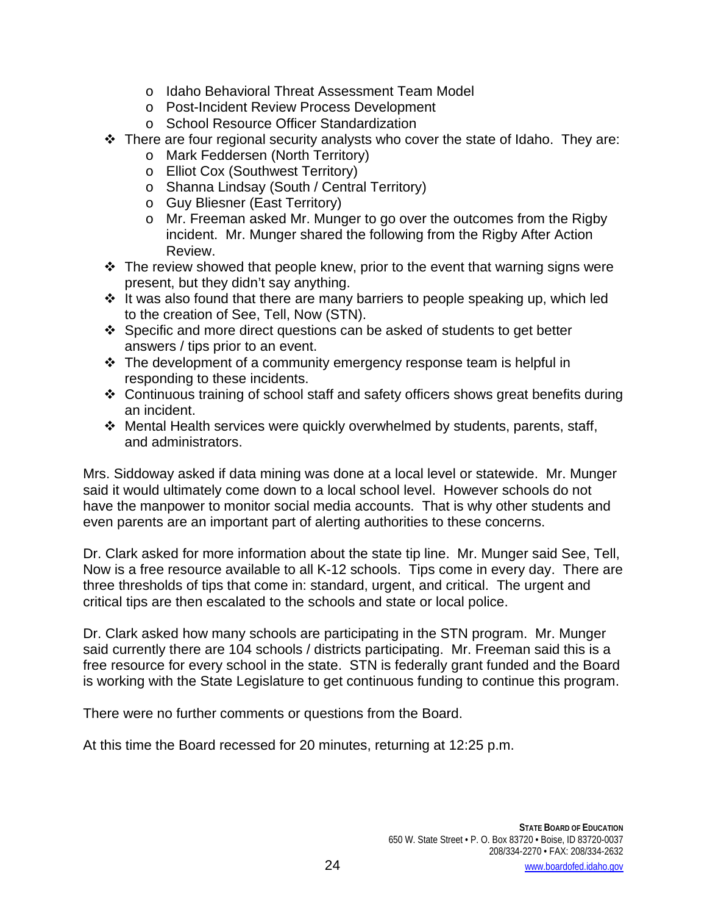- o Idaho Behavioral Threat Assessment Team Model
- o Post-Incident Review Process Development
- o School Resource Officer Standardization
- $\div$  There are four regional security analysts who cover the state of Idaho. They are:
	- o Mark Feddersen (North Territory)
	- o Elliot Cox (Southwest Territory)
	- o Shanna Lindsay (South / Central Territory)
	- o Guy Bliesner (East Territory)
	- o Mr. Freeman asked Mr. Munger to go over the outcomes from the Rigby incident. Mr. Munger shared the following from the Rigby After Action Review.
- $\cdot \cdot$  The review showed that people knew, prior to the event that warning signs were present, but they didn't say anything.
- $\cdot$  It was also found that there are many barriers to people speaking up, which led to the creation of See, Tell, Now (STN).
- Specific and more direct questions can be asked of students to get better answers / tips prior to an event.
- $\cdot \cdot$  The development of a community emergency response team is helpful in responding to these incidents.
- Continuous training of school staff and safety officers shows great benefits during an incident.
- Mental Health services were quickly overwhelmed by students, parents, staff, and administrators.

Mrs. Siddoway asked if data mining was done at a local level or statewide. Mr. Munger said it would ultimately come down to a local school level. However schools do not have the manpower to monitor social media accounts. That is why other students and even parents are an important part of alerting authorities to these concerns.

Dr. Clark asked for more information about the state tip line. Mr. Munger said See, Tell, Now is a free resource available to all K-12 schools. Tips come in every day. There are three thresholds of tips that come in: standard, urgent, and critical. The urgent and critical tips are then escalated to the schools and state or local police.

Dr. Clark asked how many schools are participating in the STN program. Mr. Munger said currently there are 104 schools / districts participating. Mr. Freeman said this is a free resource for every school in the state. STN is federally grant funded and the Board is working with the State Legislature to get continuous funding to continue this program.

There were no further comments or questions from the Board.

At this time the Board recessed for 20 minutes, returning at 12:25 p.m.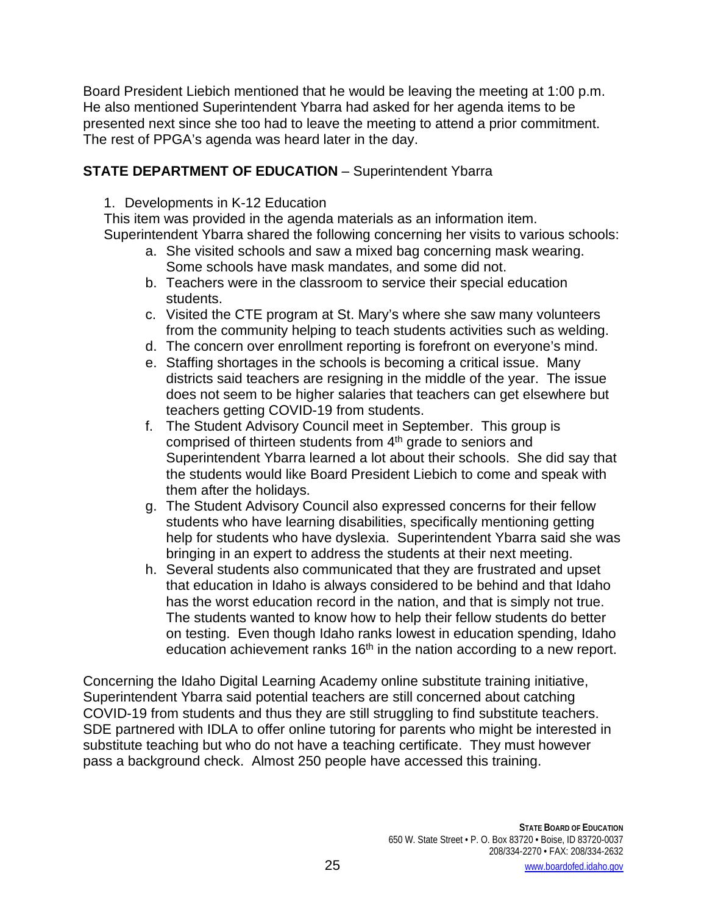Board President Liebich mentioned that he would be leaving the meeting at 1:00 p.m. He also mentioned Superintendent Ybarra had asked for her agenda items to be presented next since she too had to leave the meeting to attend a prior commitment. The rest of PPGA's agenda was heard later in the day.

# **STATE DEPARTMENT OF EDUCATION** – Superintendent Ybarra

1. Developments in K-12 Education

This item was provided in the agenda materials as an information item. Superintendent Ybarra shared the following concerning her visits to various schools:

- a. She visited schools and saw a mixed bag concerning mask wearing. Some schools have mask mandates, and some did not.
- b. Teachers were in the classroom to service their special education students.
- c. Visited the CTE program at St. Mary's where she saw many volunteers from the community helping to teach students activities such as welding.
- d. The concern over enrollment reporting is forefront on everyone's mind.
- e. Staffing shortages in the schools is becoming a critical issue. Many districts said teachers are resigning in the middle of the year. The issue does not seem to be higher salaries that teachers can get elsewhere but teachers getting COVID-19 from students.
- f. The Student Advisory Council meet in September. This group is comprised of thirteen students from 4<sup>th</sup> grade to seniors and Superintendent Ybarra learned a lot about their schools. She did say that the students would like Board President Liebich to come and speak with them after the holidays.
- g. The Student Advisory Council also expressed concerns for their fellow students who have learning disabilities, specifically mentioning getting help for students who have dyslexia. Superintendent Ybarra said she was bringing in an expert to address the students at their next meeting.
- h. Several students also communicated that they are frustrated and upset that education in Idaho is always considered to be behind and that Idaho has the worst education record in the nation, and that is simply not true. The students wanted to know how to help their fellow students do better on testing. Even though Idaho ranks lowest in education spending, Idaho education achievement ranks  $16<sup>th</sup>$  in the nation according to a new report.

Concerning the Idaho Digital Learning Academy online substitute training initiative, Superintendent Ybarra said potential teachers are still concerned about catching COVID-19 from students and thus they are still struggling to find substitute teachers. SDE partnered with IDLA to offer online tutoring for parents who might be interested in substitute teaching but who do not have a teaching certificate. They must however pass a background check. Almost 250 people have accessed this training.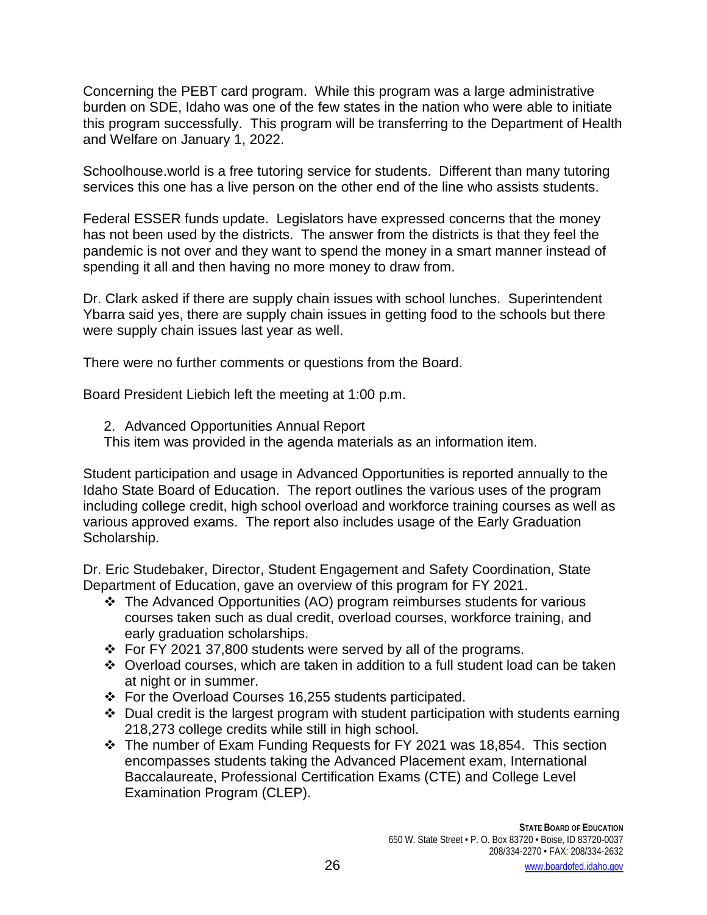Concerning the PEBT card program. While this program was a large administrative burden on SDE, Idaho was one of the few states in the nation who were able to initiate this program successfully. This program will be transferring to the Department of Health and Welfare on January 1, 2022.

Schoolhouse.world is a free tutoring service for students. Different than many tutoring services this one has a live person on the other end of the line who assists students.

Federal ESSER funds update. Legislators have expressed concerns that the money has not been used by the districts. The answer from the districts is that they feel the pandemic is not over and they want to spend the money in a smart manner instead of spending it all and then having no more money to draw from.

Dr. Clark asked if there are supply chain issues with school lunches. Superintendent Ybarra said yes, there are supply chain issues in getting food to the schools but there were supply chain issues last year as well.

There were no further comments or questions from the Board.

Board President Liebich left the meeting at 1:00 p.m.

2. Advanced Opportunities Annual Report

This item was provided in the agenda materials as an information item.

Student participation and usage in Advanced Opportunities is reported annually to the Idaho State Board of Education. The report outlines the various uses of the program including college credit, high school overload and workforce training courses as well as various approved exams. The report also includes usage of the Early Graduation Scholarship.

Dr. Eric Studebaker, Director, Student Engagement and Safety Coordination, State Department of Education, gave an overview of this program for FY 2021.

- The Advanced Opportunities (AO) program reimburses students for various courses taken such as dual credit, overload courses, workforce training, and early graduation scholarships.
- For FY 2021 37,800 students were served by all of the programs.
- Overload courses, which are taken in addition to a full student load can be taken at night or in summer.
- For the Overload Courses 16,255 students participated.
- $\cdot$  Dual credit is the largest program with student participation with students earning 218,273 college credits while still in high school.
- The number of Exam Funding Requests for FY 2021 was 18,854. This section encompasses students taking the Advanced Placement exam, International Baccalaureate, Professional Certification Exams (CTE) and College Level Examination Program (CLEP).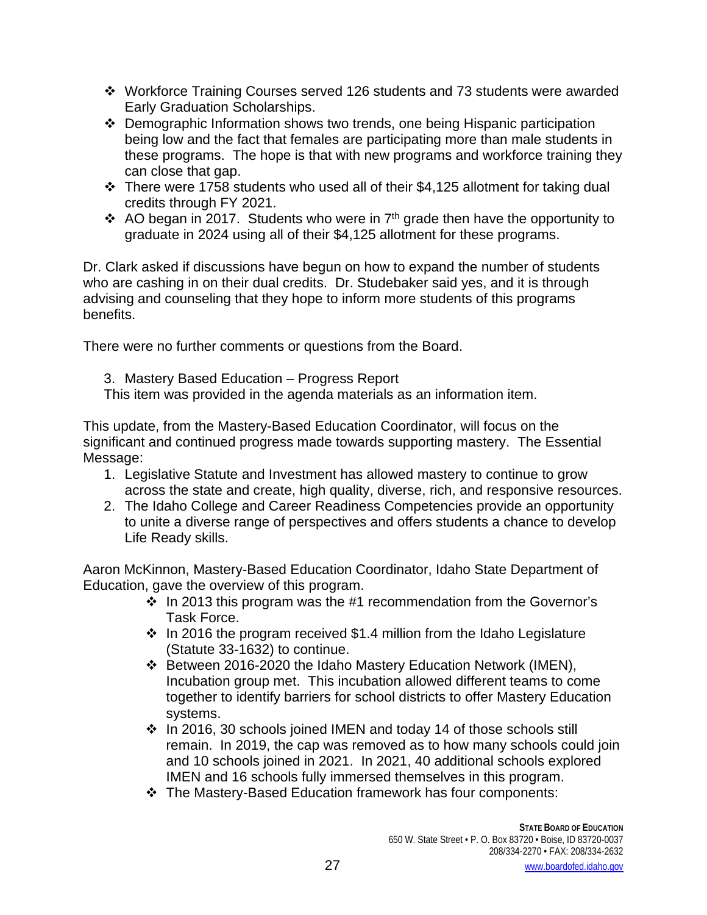- Workforce Training Courses served 126 students and 73 students were awarded Early Graduation Scholarships.
- Demographic Information shows two trends, one being Hispanic participation being low and the fact that females are participating more than male students in these programs. The hope is that with new programs and workforce training they can close that gap.
- There were 1758 students who used all of their \$4,125 allotment for taking dual credits through FY 2021.
- AO began in 2017. Students who were in  $7<sup>th</sup>$  grade then have the opportunity to graduate in 2024 using all of their \$4,125 allotment for these programs.

Dr. Clark asked if discussions have begun on how to expand the number of students who are cashing in on their dual credits. Dr. Studebaker said yes, and it is through advising and counseling that they hope to inform more students of this programs benefits.

There were no further comments or questions from the Board.

3. Mastery Based Education – Progress Report This item was provided in the agenda materials as an information item.

This update, from the Mastery-Based Education Coordinator, will focus on the significant and continued progress made towards supporting mastery. The Essential Message:

- 1. Legislative Statute and Investment has allowed mastery to continue to grow across the state and create, high quality, diverse, rich, and responsive resources.
- 2. The Idaho College and Career Readiness Competencies provide an opportunity to unite a diverse range of perspectives and offers students a chance to develop Life Ready skills.

Aaron McKinnon, Mastery-Based Education Coordinator, Idaho State Department of Education, gave the overview of this program.

- $\cdot$  In 2013 this program was the #1 recommendation from the Governor's Task Force.
- $\cdot$  In 2016 the program received \$1.4 million from the Idaho Legislature (Statute 33-1632) to continue.
- Between 2016-2020 the Idaho Mastery Education Network (IMEN), Incubation group met. This incubation allowed different teams to come together to identify barriers for school districts to offer Mastery Education systems.
- $\cdot$  In 2016, 30 schools joined IMEN and today 14 of those schools still remain. In 2019, the cap was removed as to how many schools could join and 10 schools joined in 2021. In 2021, 40 additional schools explored IMEN and 16 schools fully immersed themselves in this program.
- The Mastery-Based Education framework has four components: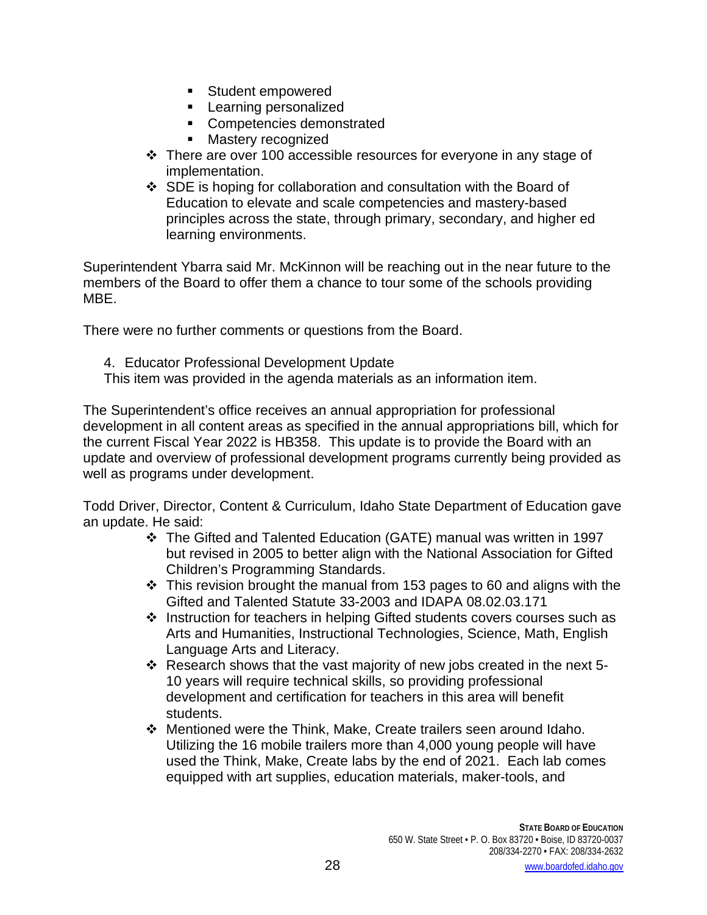- Student empowered
- **Learning personalized**
- **Competencies demonstrated**
- **Mastery recognized**
- There are over 100 accessible resources for everyone in any stage of implementation.
- SDE is hoping for collaboration and consultation with the Board of Education to elevate and scale competencies and mastery-based principles across the state, through primary, secondary, and higher ed learning environments.

Superintendent Ybarra said Mr. McKinnon will be reaching out in the near future to the members of the Board to offer them a chance to tour some of the schools providing MBE.

There were no further comments or questions from the Board.

- 4. Educator Professional Development Update
- This item was provided in the agenda materials as an information item.

The Superintendent's office receives an annual appropriation for professional development in all content areas as specified in the annual appropriations bill, which for the current Fiscal Year 2022 is HB358. This update is to provide the Board with an update and overview of professional development programs currently being provided as well as programs under development.

Todd Driver, Director, Content & Curriculum, Idaho State Department of Education gave an update. He said:

- The Gifted and Talented Education (GATE) manual was written in 1997 but revised in 2005 to better align with the National Association for Gifted Children's Programming Standards.
- $\cdot$  This revision brought the manual from 153 pages to 60 and aligns with the Gifted and Talented Statute 33-2003 and IDAPA 08.02.03.171
- $\cdot$  Instruction for teachers in helping Gifted students covers courses such as Arts and Humanities, Instructional Technologies, Science, Math, English Language Arts and Literacy.
- $\cdot$  Research shows that the vast majority of new jobs created in the next 5-10 years will require technical skills, so providing professional development and certification for teachers in this area will benefit students.
- $\cdot \cdot$  Mentioned were the Think, Make, Create trailers seen around Idaho. Utilizing the 16 mobile trailers more than 4,000 young people will have used the Think, Make, Create labs by the end of 2021. Each lab comes equipped with art supplies, education materials, maker-tools, and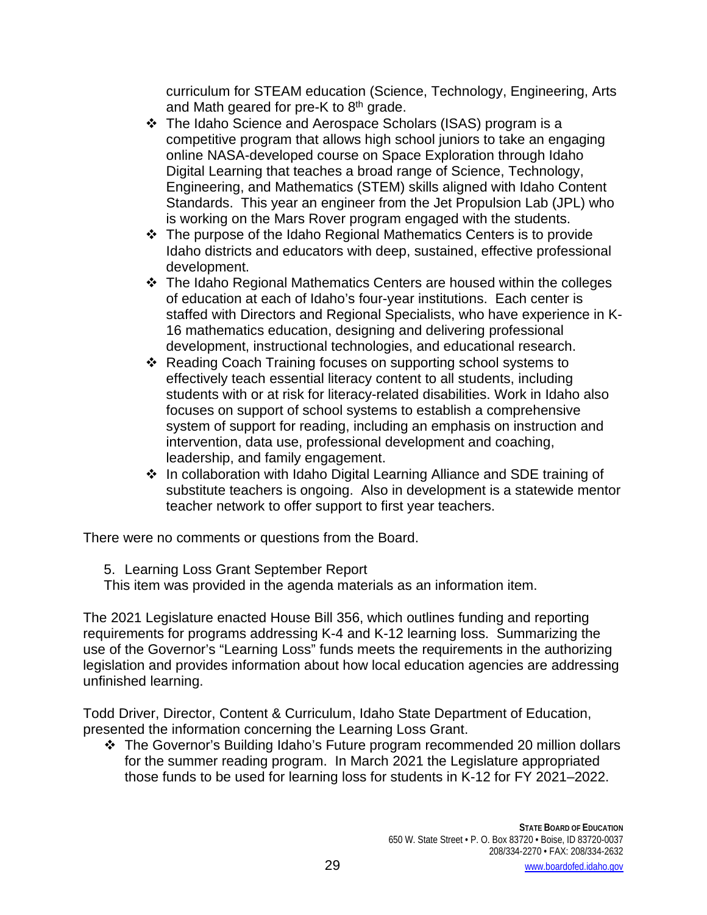curriculum for STEAM education (Science, Technology, Engineering, Arts and Math geared for pre-K to  $8<sup>th</sup>$  grade.

- The Idaho Science and Aerospace Scholars (ISAS) program is a competitive program that allows high school juniors to take an engaging online NASA-developed course on Space Exploration through Idaho Digital Learning that teaches a broad range of Science, Technology, Engineering, and Mathematics (STEM) skills aligned with Idaho Content Standards. This year an engineer from the Jet Propulsion Lab (JPL) who is working on the Mars Rover program engaged with the students.
- The purpose of the Idaho Regional Mathematics Centers is to provide Idaho districts and educators with deep, sustained, effective professional development.
- The Idaho Regional Mathematics Centers are housed within the colleges of education at each of Idaho's four-year institutions. Each center is staffed with Directors and Regional Specialists, who have experience in K-16 mathematics education, designing and delivering professional development, instructional technologies, and educational research.
- Reading Coach Training focuses on supporting school systems to effectively teach essential literacy content to all students, including students with or at risk for literacy-related disabilities. Work in Idaho also focuses on support of school systems to establish a comprehensive system of support for reading, including an emphasis on instruction and intervention, data use, professional development and coaching, leadership, and family engagement.
- ❖ In collaboration with Idaho Digital Learning Alliance and SDE training of substitute teachers is ongoing. Also in development is a statewide mentor teacher network to offer support to first year teachers.

There were no comments or questions from the Board.

5. Learning Loss Grant September Report

This item was provided in the agenda materials as an information item.

The 2021 Legislature enacted House Bill 356, which outlines funding and reporting requirements for programs addressing K-4 and K-12 learning loss. Summarizing the use of the Governor's "Learning Loss" funds meets the requirements in the authorizing legislation and provides information about how local education agencies are addressing unfinished learning.

Todd Driver, Director, Content & Curriculum, Idaho State Department of Education, presented the information concerning the Learning Loss Grant.

 The Governor's Building Idaho's Future program recommended 20 million dollars for the summer reading program. In March 2021 the Legislature appropriated those funds to be used for learning loss for students in K-12 for FY 2021–2022.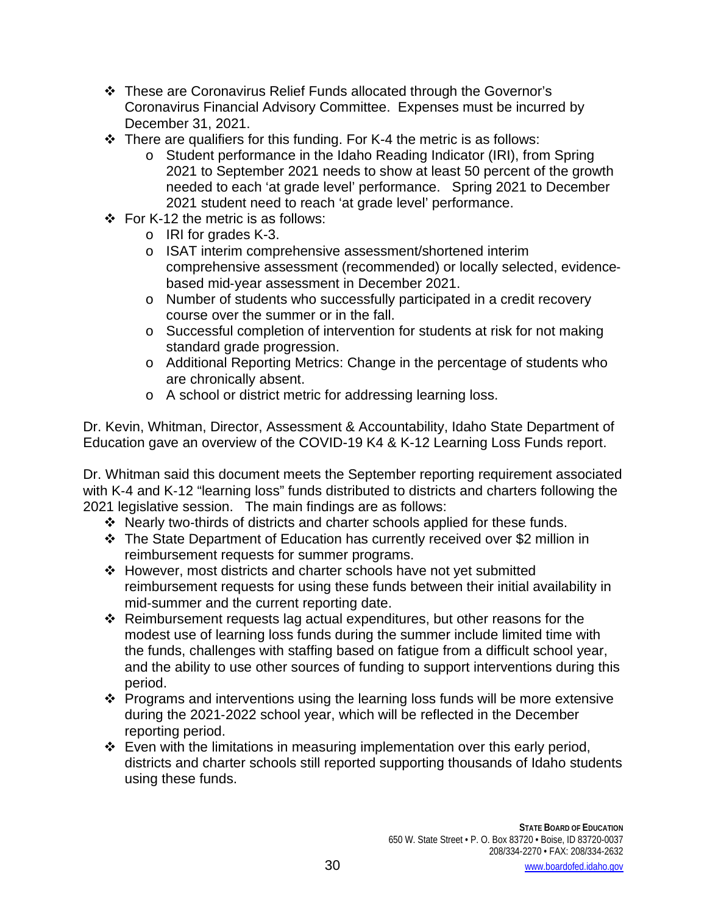- These are Coronavirus Relief Funds allocated through the Governor's Coronavirus Financial Advisory Committee. Expenses must be incurred by December 31, 2021.
- $\cdot$  There are qualifiers for this funding. For K-4 the metric is as follows:
	- o Student performance in the Idaho Reading Indicator (IRI), from Spring 2021 to September 2021 needs to show at least 50 percent of the growth needed to each 'at grade level' performance. Spring 2021 to December 2021 student need to reach 'at grade level' performance.
- $\div$  For K-12 the metric is as follows:
	- o IRI for grades K-3.
	- o ISAT interim comprehensive assessment/shortened interim comprehensive assessment (recommended) or locally selected, evidence‐ based mid‐year assessment in December 2021.
	- o Number of students who successfully participated in a credit recovery course over the summer or in the fall.
	- o Successful completion of intervention for students at risk for not making standard grade progression.
	- o Additional Reporting Metrics: Change in the percentage of students who are chronically absent.
	- o A school or district metric for addressing learning loss.

Dr. Kevin, Whitman, Director, Assessment & Accountability, Idaho State Department of Education gave an overview of the COVID-19 K4 & K-12 Learning Loss Funds report.

Dr. Whitman said this document meets the September reporting requirement associated with K-4 and K-12 "learning loss" funds distributed to districts and charters following the 2021 legislative session. The main findings are as follows:

- Nearly two‐thirds of districts and charter schools applied for these funds.
- The State Department of Education has currently received over \$2 million in reimbursement requests for summer programs.
- However, most districts and charter schools have not yet submitted reimbursement requests for using these funds between their initial availability in mid‐summer and the current reporting date.
- $\div$  Reimbursement requests lag actual expenditures, but other reasons for the modest use of learning loss funds during the summer include limited time with the funds, challenges with staffing based on fatigue from a difficult school year, and the ability to use other sources of funding to support interventions during this period.
- Programs and interventions using the learning loss funds will be more extensive during the 2021‐2022 school year, which will be reflected in the December reporting period.
- Even with the limitations in measuring implementation over this early period, districts and charter schools still reported supporting thousands of Idaho students using these funds.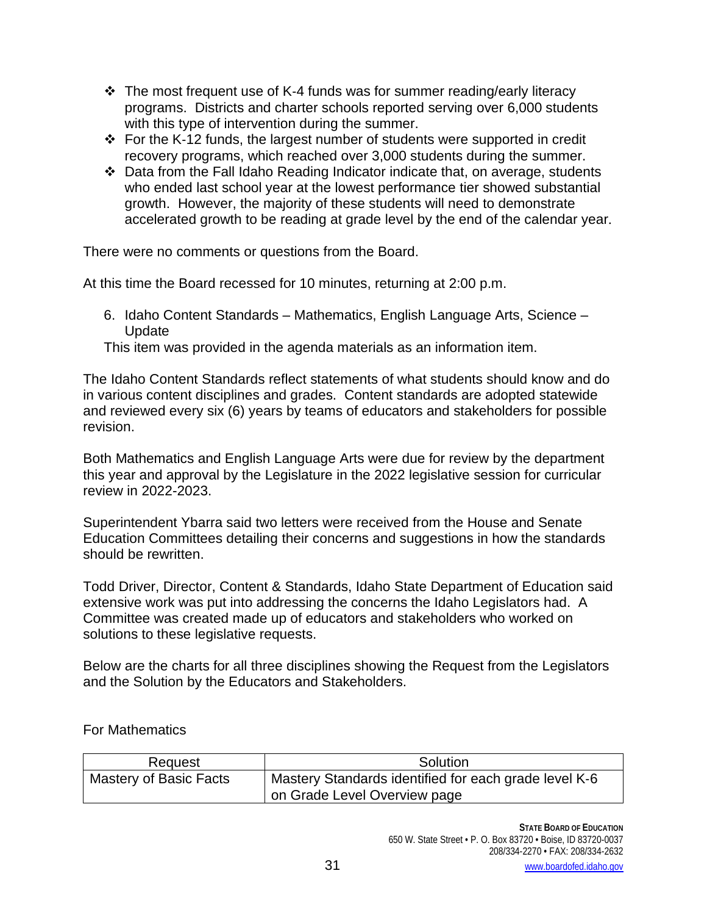- $\div$  The most frequent use of K-4 funds was for summer reading/early literacy programs. Districts and charter schools reported serving over 6,000 students with this type of intervention during the summer.
- For the K‐12 funds, the largest number of students were supported in credit recovery programs, which reached over 3,000 students during the summer.
- Data from the Fall Idaho Reading Indicator indicate that, on average, students who ended last school year at the lowest performance tier showed substantial growth. However, the majority of these students will need to demonstrate accelerated growth to be reading at grade level by the end of the calendar year.

There were no comments or questions from the Board.

At this time the Board recessed for 10 minutes, returning at 2:00 p.m.

6. Idaho Content Standards – Mathematics, English Language Arts, Science – **Update** 

This item was provided in the agenda materials as an information item.

The Idaho Content Standards reflect statements of what students should know and do in various content disciplines and grades. Content standards are adopted statewide and reviewed every six (6) years by teams of educators and stakeholders for possible revision.

Both Mathematics and English Language Arts were due for review by the department this year and approval by the Legislature in the 2022 legislative session for curricular review in 2022-2023.

Superintendent Ybarra said two letters were received from the House and Senate Education Committees detailing their concerns and suggestions in how the standards should be rewritten.

Todd Driver, Director, Content & Standards, Idaho State Department of Education said extensive work was put into addressing the concerns the Idaho Legislators had. A Committee was created made up of educators and stakeholders who worked on solutions to these legislative requests.

Below are the charts for all three disciplines showing the Request from the Legislators and the Solution by the Educators and Stakeholders.

For Mathematics

| Request                | Solution                                              |
|------------------------|-------------------------------------------------------|
| Mastery of Basic Facts | Mastery Standards identified for each grade level K-6 |
|                        | on Grade Level Overview page                          |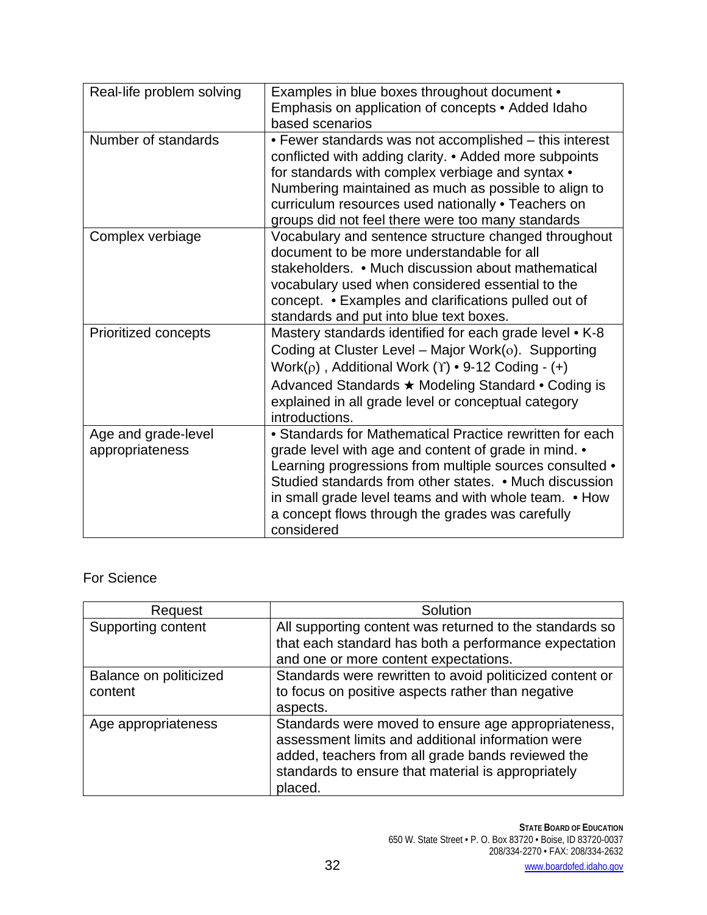| Real-life problem solving              | Examples in blue boxes throughout document •<br>Emphasis on application of concepts • Added Idaho<br>based scenarios                                                                                                                                                                                                                                             |
|----------------------------------------|------------------------------------------------------------------------------------------------------------------------------------------------------------------------------------------------------------------------------------------------------------------------------------------------------------------------------------------------------------------|
| Number of standards                    | • Fewer standards was not accomplished – this interest<br>conflicted with adding clarity. • Added more subpoints<br>for standards with complex verbiage and syntax •<br>Numbering maintained as much as possible to align to<br>curriculum resources used nationally . Teachers on<br>groups did not feel there were too many standards                          |
| Complex verbiage                       | Vocabulary and sentence structure changed throughout<br>document to be more understandable for all<br>stakeholders. • Much discussion about mathematical<br>vocabulary used when considered essential to the<br>concept. • Examples and clarifications pulled out of<br>standards and put into blue text boxes.                                                  |
| Prioritized concepts                   | Mastery standards identified for each grade level • K-8<br>Coding at Cluster Level – Major Work( $o$ ). Supporting<br>Work( $\rho$ ), Additional Work ( $\Upsilon$ ) • 9-12 Coding - (+)<br>Advanced Standards ★ Modeling Standard • Coding is<br>explained in all grade level or conceptual category<br>introductions.                                          |
| Age and grade-level<br>appropriateness | • Standards for Mathematical Practice rewritten for each<br>grade level with age and content of grade in mind. •<br>Learning progressions from multiple sources consulted •<br>Studied standards from other states. • Much discussion<br>in small grade level teams and with whole team. • How<br>a concept flows through the grades was carefully<br>considered |

# For Science

| Request                           | Solution                                                                                                                                                                                                                       |
|-----------------------------------|--------------------------------------------------------------------------------------------------------------------------------------------------------------------------------------------------------------------------------|
| Supporting content                | All supporting content was returned to the standards so<br>that each standard has both a performance expectation<br>and one or more content expectations.                                                                      |
| Balance on politicized<br>content | Standards were rewritten to avoid politicized content or<br>to focus on positive aspects rather than negative<br>aspects.                                                                                                      |
| Age appropriateness               | Standards were moved to ensure age appropriateness,<br>assessment limits and additional information were<br>added, teachers from all grade bands reviewed the<br>standards to ensure that material is appropriately<br>placed. |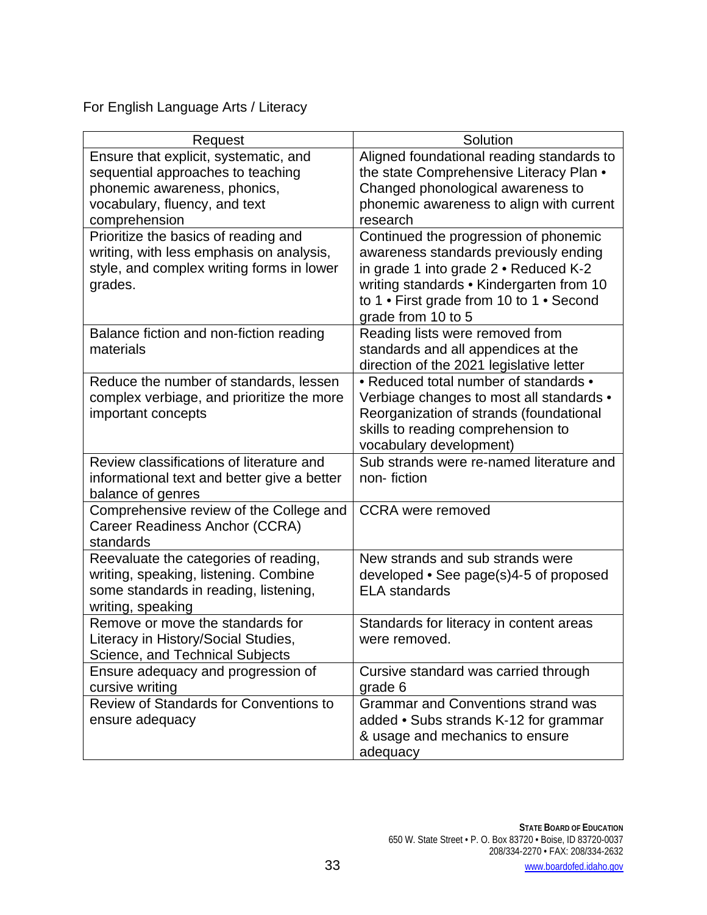For English Language Arts / Literacy

| Solution<br>Request                                                                   |  |
|---------------------------------------------------------------------------------------|--|
| Aligned foundational reading standards to<br>Ensure that explicit, systematic, and    |  |
| the state Comprehensive Literacy Plan .<br>sequential approaches to teaching          |  |
| phonemic awareness, phonics,<br>Changed phonological awareness to                     |  |
| vocabulary, fluency, and text<br>phonemic awareness to align with current             |  |
| comprehension<br>research                                                             |  |
| Prioritize the basics of reading and<br>Continued the progression of phonemic         |  |
| writing, with less emphasis on analysis,<br>awareness standards previously ending     |  |
| style, and complex writing forms in lower<br>in grade 1 into grade 2 · Reduced K-2    |  |
| writing standards • Kindergarten from 10<br>grades.                                   |  |
| to 1 • First grade from 10 to 1 • Second                                              |  |
| grade from 10 to 5                                                                    |  |
| Reading lists were removed from<br>Balance fiction and non-fiction reading            |  |
| standards and all appendices at the<br>materials                                      |  |
| direction of the 2021 legislative letter                                              |  |
| • Reduced total number of standards •<br>Reduce the number of standards, lessen       |  |
| complex verbiage, and prioritize the more<br>Verbiage changes to most all standards • |  |
| Reorganization of strands (foundational<br>important concepts                         |  |
| skills to reading comprehension to                                                    |  |
| vocabulary development)                                                               |  |
| Review classifications of literature and<br>Sub strands were re-named literature and  |  |
| informational text and better give a better<br>non-fiction                            |  |
| balance of genres                                                                     |  |
| Comprehensive review of the College and<br><b>CCRA</b> were removed                   |  |
| Career Readiness Anchor (CCRA)                                                        |  |
| standards                                                                             |  |
| Reevaluate the categories of reading,<br>New strands and sub strands were             |  |
| writing, speaking, listening. Combine<br>developed • See page(s)4-5 of proposed       |  |
| some standards in reading, listening,<br><b>ELA</b> standards                         |  |
| writing, speaking                                                                     |  |
| Remove or move the standards for<br>Standards for literacy in content areas           |  |
| Literacy in History/Social Studies,<br>were removed.                                  |  |
| Science, and Technical Subjects                                                       |  |
| Ensure adequacy and progression of<br>Cursive standard was carried through            |  |
| cursive writing<br>grade 6                                                            |  |
| Review of Standards for Conventions to<br><b>Grammar and Conventions strand was</b>   |  |
| added • Subs strands K-12 for grammar<br>ensure adequacy                              |  |
| & usage and mechanics to ensure                                                       |  |
| adequacy                                                                              |  |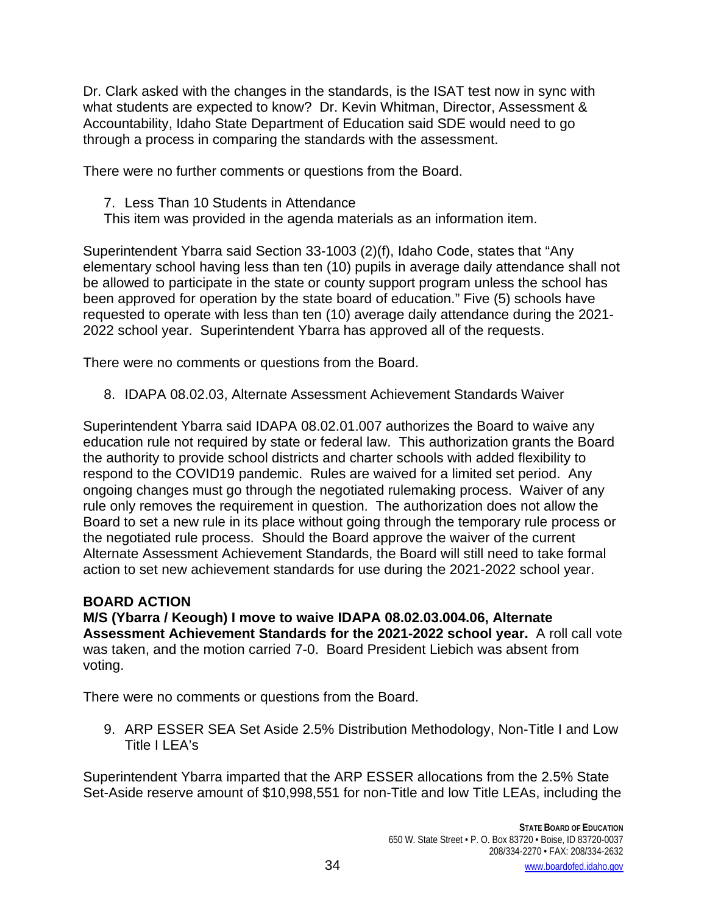Dr. Clark asked with the changes in the standards, is the ISAT test now in sync with what students are expected to know? Dr. Kevin Whitman, Director, Assessment & Accountability, Idaho State Department of Education said SDE would need to go through a process in comparing the standards with the assessment.

There were no further comments or questions from the Board.

7. Less Than 10 Students in Attendance

This item was provided in the agenda materials as an information item.

Superintendent Ybarra said Section 33-1003 (2)(f), Idaho Code, states that "Any elementary school having less than ten (10) pupils in average daily attendance shall not be allowed to participate in the state or county support program unless the school has been approved for operation by the state board of education." Five (5) schools have requested to operate with less than ten (10) average daily attendance during the 2021- 2022 school year. Superintendent Ybarra has approved all of the requests.

There were no comments or questions from the Board.

8. IDAPA 08.02.03, Alternate Assessment Achievement Standards Waiver

Superintendent Ybarra said IDAPA 08.02.01.007 authorizes the Board to waive any education rule not required by state or federal law. This authorization grants the Board the authority to provide school districts and charter schools with added flexibility to respond to the COVID19 pandemic. Rules are waived for a limited set period. Any ongoing changes must go through the negotiated rulemaking process. Waiver of any rule only removes the requirement in question. The authorization does not allow the Board to set a new rule in its place without going through the temporary rule process or the negotiated rule process. Should the Board approve the waiver of the current Alternate Assessment Achievement Standards, the Board will still need to take formal action to set new achievement standards for use during the 2021-2022 school year.

# **BOARD ACTION**

**M/S (Ybarra / Keough) I move to waive IDAPA 08.02.03.004.06, Alternate Assessment Achievement Standards for the 2021-2022 school year.** A roll call vote was taken, and the motion carried 7-0. Board President Liebich was absent from voting.

There were no comments or questions from the Board.

9. ARP ESSER SEA Set Aside 2.5% Distribution Methodology, Non-Title I and Low Title I I FA's

Superintendent Ybarra imparted that the ARP ESSER allocations from the 2.5% State Set-Aside reserve amount of \$10,998,551 for non-Title and low Title LEAs, including the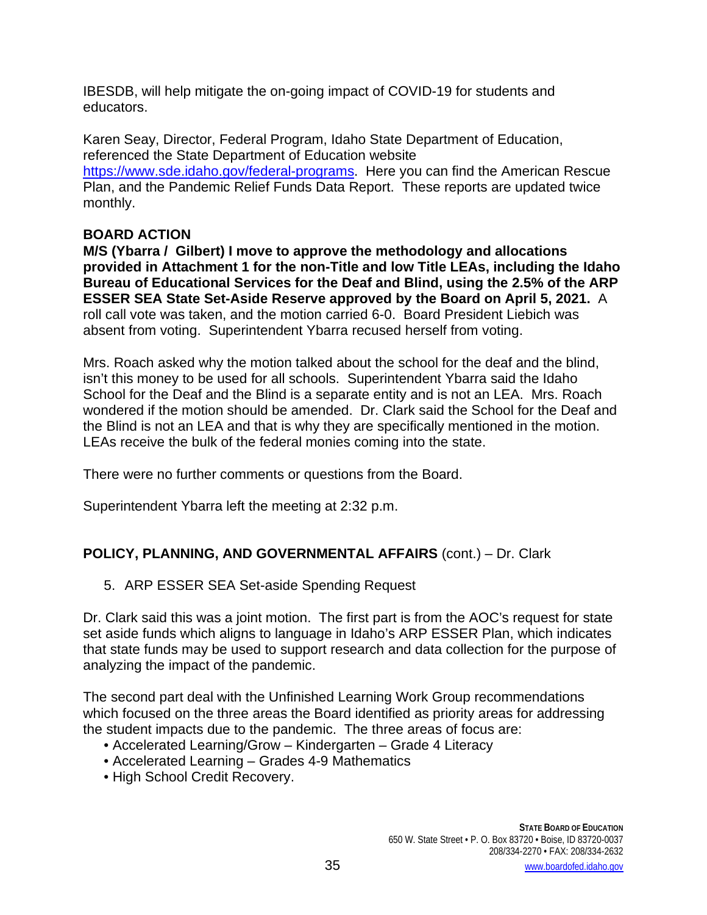IBESDB, will help mitigate the on-going impact of COVID-19 for students and educators.

Karen Seay, Director, Federal Program, Idaho State Department of Education, referenced the State Department of Education website [https://www.sde.idaho.gov/federal-programs.](https://www.sde.idaho.gov/federal-programs) Here you can find the American Rescue Plan, and the Pandemic Relief Funds Data Report. These reports are updated twice monthly.

## **BOARD ACTION**

**M/S (Ybarra / Gilbert) I move to approve the methodology and allocations provided in Attachment 1 for the non-Title and low Title LEAs, including the Idaho Bureau of Educational Services for the Deaf and Blind, using the 2.5% of the ARP ESSER SEA State Set-Aside Reserve approved by the Board on April 5, 2021.** A roll call vote was taken, and the motion carried 6-0. Board President Liebich was absent from voting. Superintendent Ybarra recused herself from voting.

Mrs. Roach asked why the motion talked about the school for the deaf and the blind, isn't this money to be used for all schools. Superintendent Ybarra said the Idaho School for the Deaf and the Blind is a separate entity and is not an LEA. Mrs. Roach wondered if the motion should be amended. Dr. Clark said the School for the Deaf and the Blind is not an LEA and that is why they are specifically mentioned in the motion. LEAs receive the bulk of the federal monies coming into the state.

There were no further comments or questions from the Board.

Superintendent Ybarra left the meeting at 2:32 p.m.

# **POLICY, PLANNING, AND GOVERNMENTAL AFFAIRS** (cont.) – Dr. Clark

5. ARP ESSER SEA Set-aside Spending Request

Dr. Clark said this was a joint motion. The first part is from the AOC's request for state set aside funds which aligns to language in Idaho's ARP ESSER Plan, which indicates that state funds may be used to support research and data collection for the purpose of analyzing the impact of the pandemic.

The second part deal with the Unfinished Learning Work Group recommendations which focused on the three areas the Board identified as priority areas for addressing the student impacts due to the pandemic. The three areas of focus are:

- Accelerated Learning/Grow Kindergarten Grade 4 Literacy
- Accelerated Learning Grades 4-9 Mathematics
- High School Credit Recovery.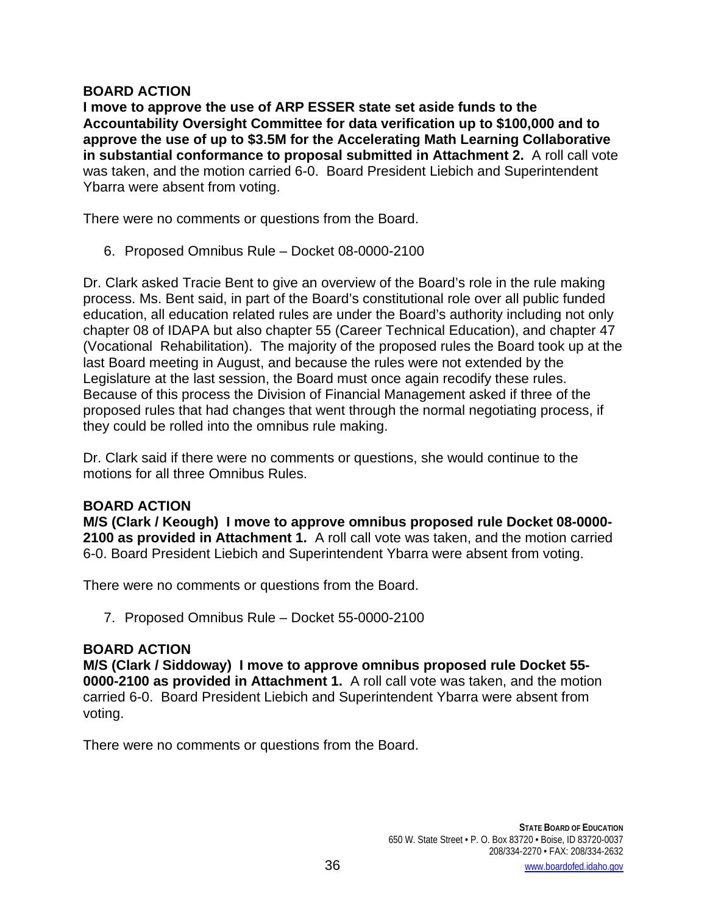### **BOARD ACTION**

**I move to approve the use of ARP ESSER state set aside funds to the Accountability Oversight Committee for data verification up to \$100,000 and to approve the use of up to \$3.5M for the Accelerating Math Learning Collaborative in substantial conformance to proposal submitted in Attachment 2.** A roll call vote was taken, and the motion carried 6-0. Board President Liebich and Superintendent Ybarra were absent from voting.

There were no comments or questions from the Board.

6. Proposed Omnibus Rule – Docket 08-0000-2100

Dr. Clark asked Tracie Bent to give an overview of the Board's role in the rule making process. Ms. Bent said, in part of the Board's constitutional role over all public funded education, all education related rules are under the Board's authority including not only chapter 08 of IDAPA but also chapter 55 (Career Technical Education), and chapter 47 (Vocational Rehabilitation). The majority of the proposed rules the Board took up at the last Board meeting in August, and because the rules were not extended by the Legislature at the last session, the Board must once again recodify these rules. Because of this process the Division of Financial Management asked if three of the proposed rules that had changes that went through the normal negotiating process, if they could be rolled into the omnibus rule making.

Dr. Clark said if there were no comments or questions, she would continue to the motions for all three Omnibus Rules.

### **BOARD ACTION**

**M/S (Clark / Keough) I move to approve omnibus proposed rule Docket 08-0000- 2100 as provided in Attachment 1.** A roll call vote was taken, and the motion carried 6-0. Board President Liebich and Superintendent Ybarra were absent from voting.

There were no comments or questions from the Board.

7. Proposed Omnibus Rule – Docket 55-0000-2100

### **BOARD ACTION**

**M/S (Clark / Siddoway) I move to approve omnibus proposed rule Docket 55- 0000-2100 as provided in Attachment 1.** A roll call vote was taken, and the motion carried 6-0. Board President Liebich and Superintendent Ybarra were absent from voting.

There were no comments or questions from the Board.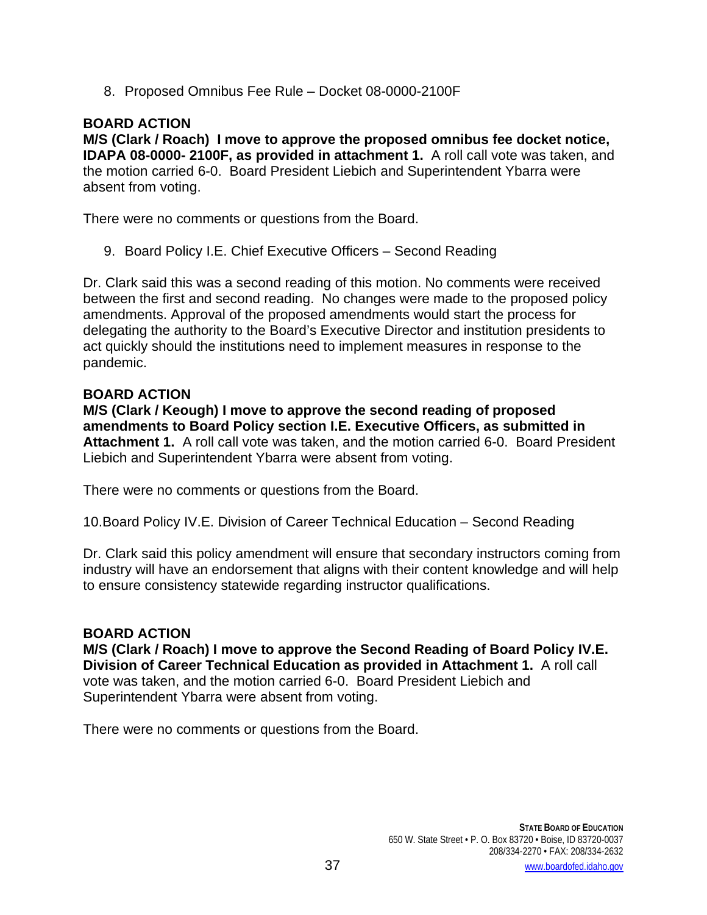8. Proposed Omnibus Fee Rule – Docket 08-0000-2100F

## **BOARD ACTION**

**M/S (Clark / Roach) I move to approve the proposed omnibus fee docket notice, IDAPA 08-0000- 2100F, as provided in attachment 1.** A roll call vote was taken, and the motion carried 6-0. Board President Liebich and Superintendent Ybarra were absent from voting.

There were no comments or questions from the Board.

9. Board Policy I.E. Chief Executive Officers – Second Reading

Dr. Clark said this was a second reading of this motion. No comments were received between the first and second reading. No changes were made to the proposed policy amendments. Approval of the proposed amendments would start the process for delegating the authority to the Board's Executive Director and institution presidents to act quickly should the institutions need to implement measures in response to the pandemic.

#### **BOARD ACTION**

**M/S (Clark / Keough) I move to approve the second reading of proposed amendments to Board Policy section I.E. Executive Officers, as submitted in Attachment 1.** A roll call vote was taken, and the motion carried 6-0. Board President Liebich and Superintendent Ybarra were absent from voting.

There were no comments or questions from the Board.

10.Board Policy IV.E. Division of Career Technical Education – Second Reading

Dr. Clark said this policy amendment will ensure that secondary instructors coming from industry will have an endorsement that aligns with their content knowledge and will help to ensure consistency statewide regarding instructor qualifications.

### **BOARD ACTION**

**M/S (Clark / Roach) I move to approve the Second Reading of Board Policy IV.E. Division of Career Technical Education as provided in Attachment 1.** A roll call vote was taken, and the motion carried 6-0. Board President Liebich and Superintendent Ybarra were absent from voting.

There were no comments or questions from the Board.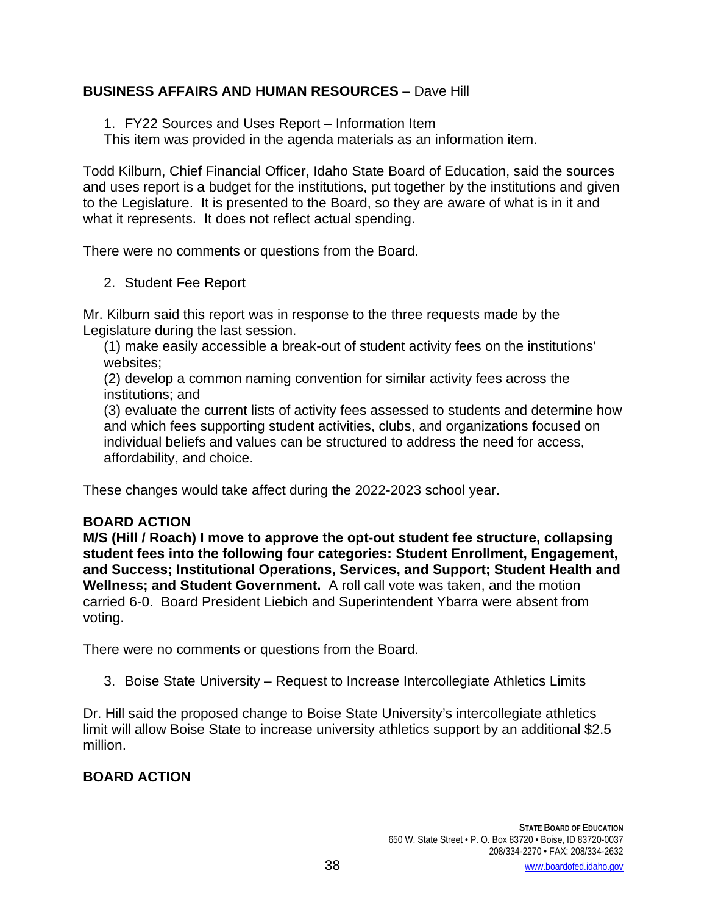# **BUSINESS AFFAIRS AND HUMAN RESOURCES** – Dave Hill

1. FY22 Sources and Uses Report – Information Item

This item was provided in the agenda materials as an information item.

Todd Kilburn, Chief Financial Officer, Idaho State Board of Education, said the sources and uses report is a budget for the institutions, put together by the institutions and given to the Legislature. It is presented to the Board, so they are aware of what is in it and what it represents. It does not reflect actual spending.

There were no comments or questions from the Board.

2. Student Fee Report

Mr. Kilburn said this report was in response to the three requests made by the Legislature during the last session.

(1) make easily accessible a break-out of student activity fees on the institutions' websites;

(2) develop a common naming convention for similar activity fees across the institutions; and

(3) evaluate the current lists of activity fees assessed to students and determine how and which fees supporting student activities, clubs, and organizations focused on individual beliefs and values can be structured to address the need for access, affordability, and choice.

These changes would take affect during the 2022-2023 school year.

# **BOARD ACTION**

**M/S (Hill / Roach) I move to approve the opt-out student fee structure, collapsing student fees into the following four categories: Student Enrollment, Engagement, and Success; Institutional Operations, Services, and Support; Student Health and Wellness; and Student Government.** A roll call vote was taken, and the motion carried 6-0. Board President Liebich and Superintendent Ybarra were absent from voting.

There were no comments or questions from the Board.

3. Boise State University – Request to Increase Intercollegiate Athletics Limits

Dr. Hill said the proposed change to Boise State University's intercollegiate athletics limit will allow Boise State to increase university athletics support by an additional \$2.5 million.

# **BOARD ACTION**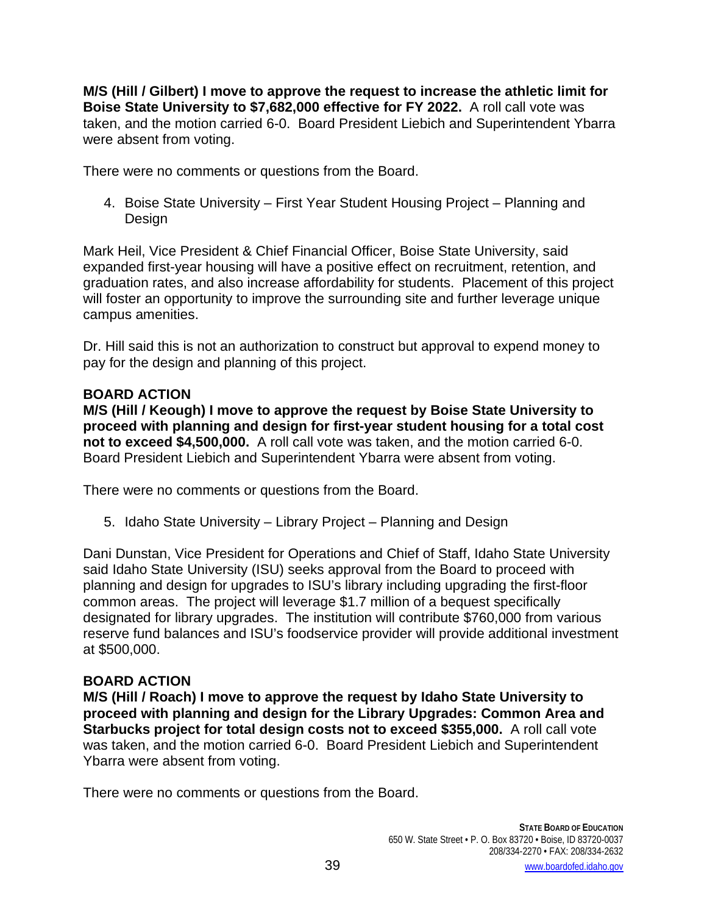**M/S (Hill / Gilbert) I move to approve the request to increase the athletic limit for Boise State University to \$7,682,000 effective for FY 2022.** A roll call vote was taken, and the motion carried 6-0. Board President Liebich and Superintendent Ybarra were absent from voting.

There were no comments or questions from the Board.

4. Boise State University – First Year Student Housing Project – Planning and Design

Mark Heil, Vice President & Chief Financial Officer, Boise State University, said expanded first-year housing will have a positive effect on recruitment, retention, and graduation rates, and also increase affordability for students. Placement of this project will foster an opportunity to improve the surrounding site and further leverage unique campus amenities.

Dr. Hill said this is not an authorization to construct but approval to expend money to pay for the design and planning of this project.

## **BOARD ACTION**

**M/S (Hill / Keough) I move to approve the request by Boise State University to proceed with planning and design for first-year student housing for a total cost not to exceed \$4,500,000.** A roll call vote was taken, and the motion carried 6-0. Board President Liebich and Superintendent Ybarra were absent from voting.

There were no comments or questions from the Board.

5. Idaho State University – Library Project – Planning and Design

Dani Dunstan, Vice President for Operations and Chief of Staff, Idaho State University said Idaho State University (ISU) seeks approval from the Board to proceed with planning and design for upgrades to ISU's library including upgrading the first-floor common areas. The project will leverage \$1.7 million of a bequest specifically designated for library upgrades. The institution will contribute \$760,000 from various reserve fund balances and ISU's foodservice provider will provide additional investment at \$500,000.

# **BOARD ACTION**

**M/S (Hill / Roach) I move to approve the request by Idaho State University to proceed with planning and design for the Library Upgrades: Common Area and Starbucks project for total design costs not to exceed \$355,000.** A roll call vote was taken, and the motion carried 6-0. Board President Liebich and Superintendent Ybarra were absent from voting.

There were no comments or questions from the Board.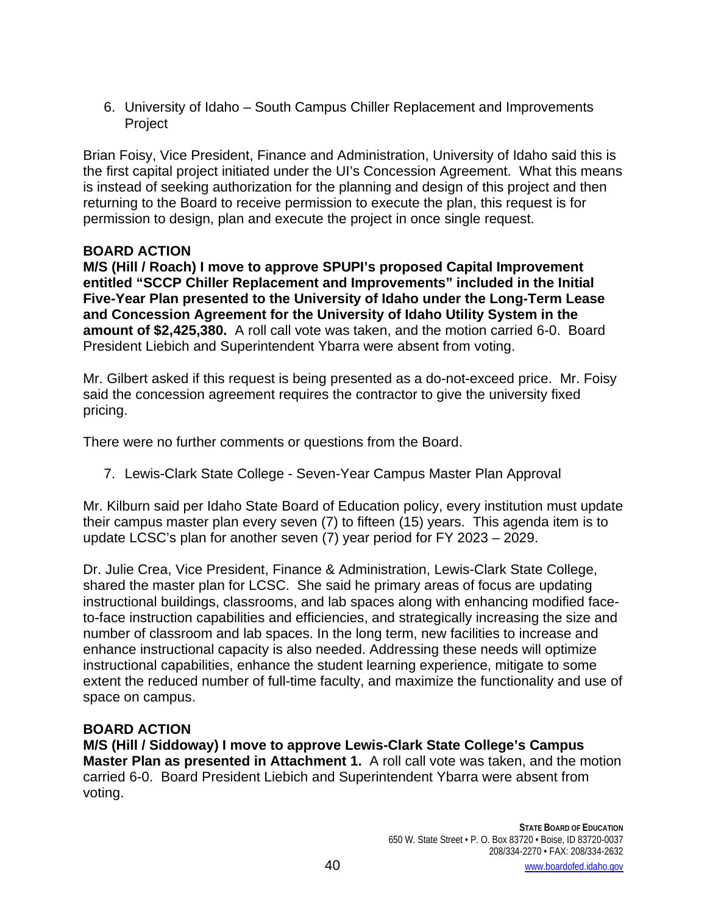6. University of Idaho – South Campus Chiller Replacement and Improvements Project

Brian Foisy, Vice President, Finance and Administration, University of Idaho said this is the first capital project initiated under the UI's Concession Agreement. What this means is instead of seeking authorization for the planning and design of this project and then returning to the Board to receive permission to execute the plan, this request is for permission to design, plan and execute the project in once single request.

# **BOARD ACTION**

**M/S (Hill / Roach) I move to approve SPUPI's proposed Capital Improvement entitled "SCCP Chiller Replacement and Improvements" included in the Initial Five-Year Plan presented to the University of Idaho under the Long-Term Lease and Concession Agreement for the University of Idaho Utility System in the amount of \$2,425,380.** A roll call vote was taken, and the motion carried 6-0. Board President Liebich and Superintendent Ybarra were absent from voting.

Mr. Gilbert asked if this request is being presented as a do-not-exceed price. Mr. Foisy said the concession agreement requires the contractor to give the university fixed pricing.

There were no further comments or questions from the Board.

7. Lewis-Clark State College - Seven-Year Campus Master Plan Approval

Mr. Kilburn said per Idaho State Board of Education policy, every institution must update their campus master plan every seven (7) to fifteen (15) years. This agenda item is to update LCSC's plan for another seven (7) year period for FY 2023 – 2029.

Dr. Julie Crea, Vice President, Finance & Administration, Lewis-Clark State College, shared the master plan for LCSC. She said he primary areas of focus are updating instructional buildings, classrooms, and lab spaces along with enhancing modified faceto-face instruction capabilities and efficiencies, and strategically increasing the size and number of classroom and lab spaces. In the long term, new facilities to increase and enhance instructional capacity is also needed. Addressing these needs will optimize instructional capabilities, enhance the student learning experience, mitigate to some extent the reduced number of full-time faculty, and maximize the functionality and use of space on campus.

### **BOARD ACTION**

**M/S (Hill / Siddoway) I move to approve Lewis-Clark State College's Campus Master Plan as presented in Attachment 1.** A roll call vote was taken, and the motion carried 6-0. Board President Liebich and Superintendent Ybarra were absent from voting.